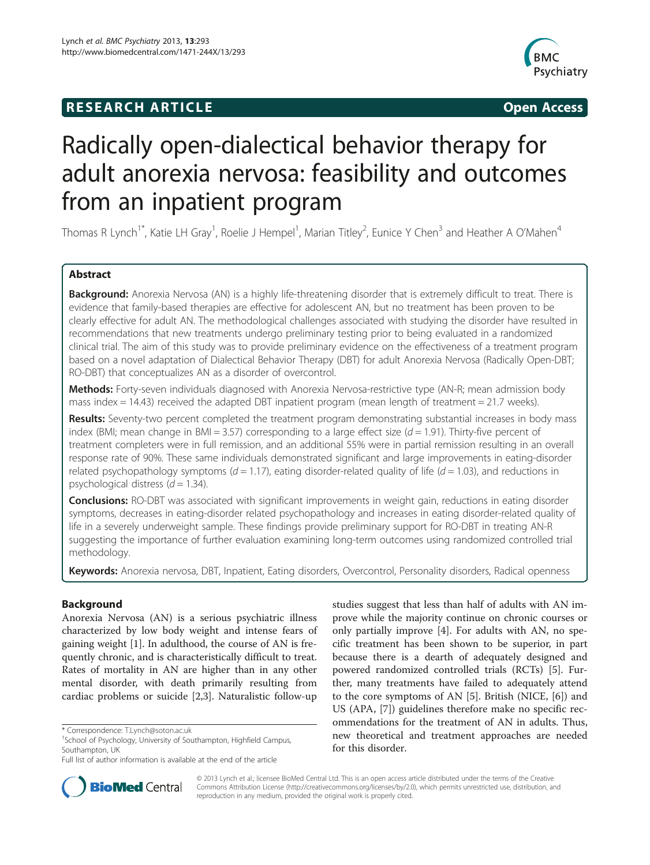# **RESEARCH ARTICLE Example 2014 CONSIDERING CONSIDERING CONSIDERING CONSIDERING CONSIDERING CONSIDERING CONSIDERING CONSIDERING CONSIDERING CONSIDERING CONSIDERING CONSIDERING CONSIDERING CONSIDERING CONSIDERING CONSIDE**



# Radically open-dialectical behavior therapy for adult anorexia nervosa: feasibility and outcomes from an inpatient program

Thomas R Lynch<sup>1\*</sup>, Katie LH Gray<sup>1</sup>, Roelie J Hempel<sup>1</sup>, Marian Titley<sup>2</sup>, Eunice Y Chen<sup>3</sup> and Heather A O'Mahen<sup>4</sup>

# Abstract

Background: Anorexia Nervosa (AN) is a highly life-threatening disorder that is extremely difficult to treat. There is evidence that family-based therapies are effective for adolescent AN, but no treatment has been proven to be clearly effective for adult AN. The methodological challenges associated with studying the disorder have resulted in recommendations that new treatments undergo preliminary testing prior to being evaluated in a randomized clinical trial. The aim of this study was to provide preliminary evidence on the effectiveness of a treatment program based on a novel adaptation of Dialectical Behavior Therapy (DBT) for adult Anorexia Nervosa (Radically Open-DBT; RO-DBT) that conceptualizes AN as a disorder of overcontrol.

Methods: Forty-seven individuals diagnosed with Anorexia Nervosa-restrictive type (AN-R; mean admission body mass index = 14.43) received the adapted DBT inpatient program (mean length of treatment = 21.7 weeks).

Results: Seventy-two percent completed the treatment program demonstrating substantial increases in body mass index (BMI; mean change in BMI = 3.57) corresponding to a large effect size  $(d = 1.91)$ . Thirty-five percent of treatment completers were in full remission, and an additional 55% were in partial remission resulting in an overall response rate of 90%. These same individuals demonstrated significant and large improvements in eating-disorder related psychopathology symptoms  $(d = 1.17)$ , eating disorder-related quality of life  $(d = 1.03)$ , and reductions in psychological distress  $(d = 1.34)$ .

**Conclusions:** RO-DBT was associated with significant improvements in weight gain, reductions in eating disorder symptoms, decreases in eating-disorder related psychopathology and increases in eating disorder-related quality of life in a severely underweight sample. These findings provide preliminary support for RO-DBT in treating AN-R suggesting the importance of further evaluation examining long-term outcomes using randomized controlled trial methodology.

Keywords: Anorexia nervosa, DBT, Inpatient, Eating disorders, Overcontrol, Personality disorders, Radical openness

# Background

Anorexia Nervosa (AN) is a serious psychiatric illness characterized by low body weight and intense fears of gaining weight [\[1](#page-15-0)]. In adulthood, the course of AN is frequently chronic, and is characteristically difficult to treat. Rates of mortality in AN are higher than in any other mental disorder, with death primarily resulting from cardiac problems or suicide [\[2,3](#page-15-0)]. Naturalistic follow-up

studies suggest that less than half of adults with AN improve while the majority continue on chronic courses or only partially improve [[4\]](#page-15-0). For adults with AN, no specific treatment has been shown to be superior, in part because there is a dearth of adequately designed and powered randomized controlled trials (RCTs) [[5\]](#page-15-0). Further, many treatments have failed to adequately attend to the core symptoms of AN [[5](#page-15-0)]. British (NICE, [\[6\]](#page-15-0)) and US (APA, [\[7\]](#page-15-0)) guidelines therefore make no specific recommendations for the treatment of AN in adults. Thus, new theoretical and treatment approaches are needed for this disorder.



© 2013 Lynch et al.; licensee BioMed Central Ltd. This is an open access article distributed under the terms of the Creative Commons Attribution License [\(http://creativecommons.org/licenses/by/2.0\)](http://creativecommons.org/licenses/by/2.0), which permits unrestricted use, distribution, and reproduction in any medium, provided the original work is properly cited.

<sup>\*</sup> Correspondence: [T.Lynch@soton.ac.uk](mailto:T.Lynch@soton.ac.uk) <sup>1</sup>

<sup>&</sup>lt;sup>1</sup>School of Psychology, University of Southampton, Highfield Campus, Southampton, UK

Full list of author information is available at the end of the article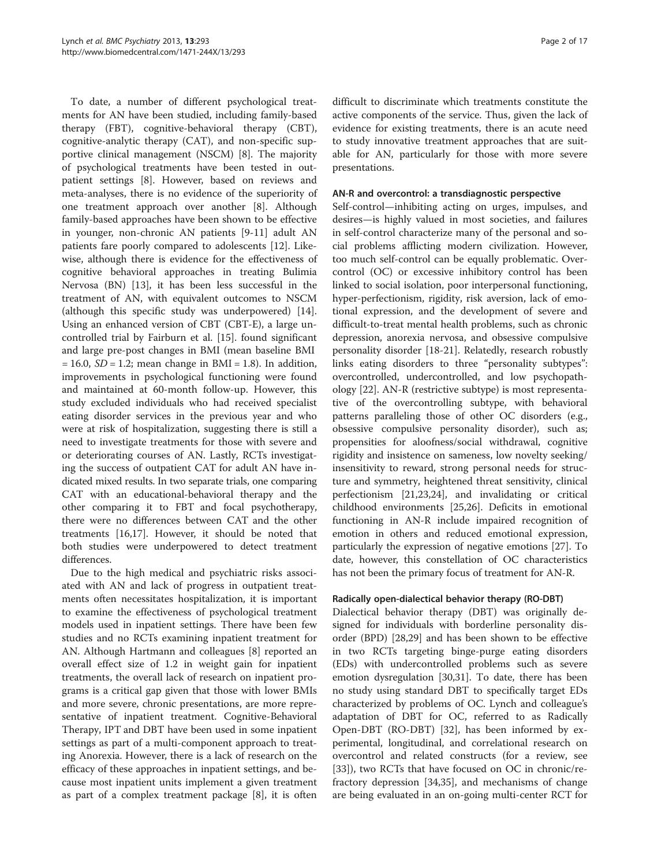To date, a number of different psychological treatments for AN have been studied, including family-based therapy (FBT), cognitive-behavioral therapy (CBT), cognitive-analytic therapy (CAT), and non-specific supportive clinical management (NSCM) [[8\]](#page-15-0). The majority of psychological treatments have been tested in outpatient settings [[8\]](#page-15-0). However, based on reviews and meta-analyses, there is no evidence of the superiority of one treatment approach over another [\[8](#page-15-0)]. Although family-based approaches have been shown to be effective in younger, non-chronic AN patients [\[9](#page-15-0)-[11](#page-15-0)] adult AN patients fare poorly compared to adolescents [[12\]](#page-15-0). Likewise, although there is evidence for the effectiveness of cognitive behavioral approaches in treating Bulimia Nervosa (BN) [[13\]](#page-15-0), it has been less successful in the treatment of AN, with equivalent outcomes to NSCM (although this specific study was underpowered) [\[14](#page-15-0)]. Using an enhanced version of CBT (CBT-E), a large uncontrolled trial by Fairburn et al. [[15\]](#page-15-0). found significant and large pre-post changes in BMI (mean baseline BMI  $= 16.0$ ,  $SD = 1.2$ ; mean change in BMI = 1.8). In addition, improvements in psychological functioning were found and maintained at 60-month follow-up. However, this study excluded individuals who had received specialist eating disorder services in the previous year and who were at risk of hospitalization, suggesting there is still a need to investigate treatments for those with severe and or deteriorating courses of AN. Lastly, RCTs investigating the success of outpatient CAT for adult AN have indicated mixed results. In two separate trials, one comparing CAT with an educational-behavioral therapy and the other comparing it to FBT and focal psychotherapy, there were no differences between CAT and the other treatments [\[16,17\]](#page-15-0). However, it should be noted that both studies were underpowered to detect treatment differences.

Due to the high medical and psychiatric risks associated with AN and lack of progress in outpatient treatments often necessitates hospitalization, it is important to examine the effectiveness of psychological treatment models used in inpatient settings. There have been few studies and no RCTs examining inpatient treatment for AN. Although Hartmann and colleagues [[8\]](#page-15-0) reported an overall effect size of 1.2 in weight gain for inpatient treatments, the overall lack of research on inpatient programs is a critical gap given that those with lower BMIs and more severe, chronic presentations, are more representative of inpatient treatment. Cognitive-Behavioral Therapy, IPT and DBT have been used in some inpatient settings as part of a multi-component approach to treating Anorexia. However, there is a lack of research on the efficacy of these approaches in inpatient settings, and because most inpatient units implement a given treatment as part of a complex treatment package [\[8](#page-15-0)], it is often difficult to discriminate which treatments constitute the active components of the service. Thus, given the lack of evidence for existing treatments, there is an acute need to study innovative treatment approaches that are suitable for AN, particularly for those with more severe presentations.

#### AN-R and overcontrol: a transdiagnostic perspective

Self-control—inhibiting acting on urges, impulses, and desires—is highly valued in most societies, and failures in self-control characterize many of the personal and social problems afflicting modern civilization. However, too much self-control can be equally problematic. Overcontrol (OC) or excessive inhibitory control has been linked to social isolation, poor interpersonal functioning, hyper-perfectionism, rigidity, risk aversion, lack of emotional expression, and the development of severe and difficult-to-treat mental health problems, such as chronic depression, anorexia nervosa, and obsessive compulsive personality disorder [\[18](#page-15-0)-[21](#page-15-0)]. Relatedly, research robustly links eating disorders to three "personality subtypes": overcontrolled, undercontrolled, and low psychopathology [[22](#page-15-0)]. AN-R (restrictive subtype) is most representative of the overcontrolling subtype, with behavioral patterns paralleling those of other OC disorders (e.g., obsessive compulsive personality disorder), such as; propensities for aloofness/social withdrawal, cognitive rigidity and insistence on sameness, low novelty seeking/ insensitivity to reward, strong personal needs for structure and symmetry, heightened threat sensitivity, clinical perfectionism [\[21,23,24\]](#page-15-0), and invalidating or critical childhood environments [[25,26](#page-15-0)]. Deficits in emotional functioning in AN-R include impaired recognition of emotion in others and reduced emotional expression, particularly the expression of negative emotions [[27](#page-15-0)]. To date, however, this constellation of OC characteristics has not been the primary focus of treatment for AN-R.

# Radically open-dialectical behavior therapy (RO-DBT)

Dialectical behavior therapy (DBT) was originally designed for individuals with borderline personality disorder (BPD) [\[28,29\]](#page-15-0) and has been shown to be effective in two RCTs targeting binge-purge eating disorders (EDs) with undercontrolled problems such as severe emotion dysregulation [\[30,31\]](#page-15-0). To date, there has been no study using standard DBT to specifically target EDs characterized by problems of OC. Lynch and colleague's adaptation of DBT for OC, referred to as Radically Open-DBT (RO-DBT) [[32](#page-15-0)], has been informed by experimental, longitudinal, and correlational research on overcontrol and related constructs (for a review, see [[33\]](#page-15-0)), two RCTs that have focused on OC in chronic/refractory depression [[34,35\]](#page-15-0), and mechanisms of change are being evaluated in an on-going multi-center RCT for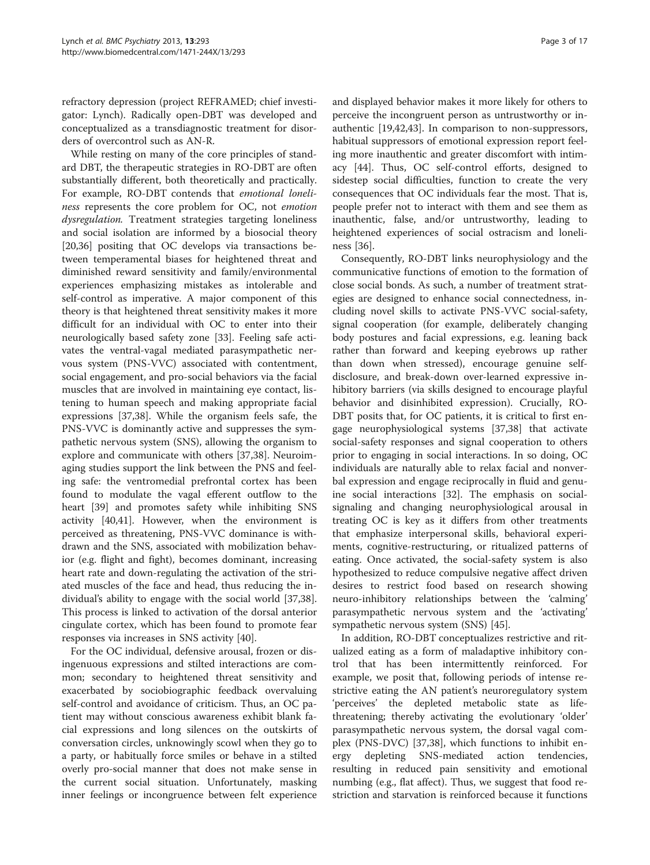refractory depression (project REFRAMED; chief investigator: Lynch). Radically open-DBT was developed and conceptualized as a transdiagnostic treatment for disorders of overcontrol such as AN-R.

While resting on many of the core principles of standard DBT, the therapeutic strategies in RO-DBT are often substantially different, both theoretically and practically. For example, RO-DBT contends that emotional loneliness represents the core problem for OC, not emotion dysregulation. Treatment strategies targeting loneliness and social isolation are informed by a biosocial theory [[20,36\]](#page-15-0) positing that OC develops via transactions between temperamental biases for heightened threat and diminished reward sensitivity and family/environmental experiences emphasizing mistakes as intolerable and self-control as imperative. A major component of this theory is that heightened threat sensitivity makes it more difficult for an individual with OC to enter into their neurologically based safety zone [[33](#page-15-0)]. Feeling safe activates the ventral-vagal mediated parasympathetic nervous system (PNS-VVC) associated with contentment, social engagement, and pro-social behaviors via the facial muscles that are involved in maintaining eye contact, listening to human speech and making appropriate facial expressions [\[37,38](#page-15-0)]. While the organism feels safe, the PNS-VVC is dominantly active and suppresses the sympathetic nervous system (SNS), allowing the organism to explore and communicate with others [[37,38\]](#page-15-0). Neuroimaging studies support the link between the PNS and feeling safe: the ventromedial prefrontal cortex has been found to modulate the vagal efferent outflow to the heart [[39\]](#page-15-0) and promotes safety while inhibiting SNS activity [\[40,41\]](#page-15-0). However, when the environment is perceived as threatening, PNS-VVC dominance is withdrawn and the SNS, associated with mobilization behavior (e.g. flight and fight), becomes dominant, increasing heart rate and down-regulating the activation of the striated muscles of the face and head, thus reducing the individual's ability to engage with the social world [\[37,38](#page-15-0)]. This process is linked to activation of the dorsal anterior cingulate cortex, which has been found to promote fear responses via increases in SNS activity [\[40\]](#page-15-0).

For the OC individual, defensive arousal, frozen or disingenuous expressions and stilted interactions are common; secondary to heightened threat sensitivity and exacerbated by sociobiographic feedback overvaluing self-control and avoidance of criticism. Thus, an OC patient may without conscious awareness exhibit blank facial expressions and long silences on the outskirts of conversation circles, unknowingly scowl when they go to a party, or habitually force smiles or behave in a stilted overly pro-social manner that does not make sense in the current social situation. Unfortunately, masking inner feelings or incongruence between felt experience

and displayed behavior makes it more likely for others to perceive the incongruent person as untrustworthy or inauthentic [[19,42,](#page-15-0)[43\]](#page-16-0). In comparison to non-suppressors, habitual suppressors of emotional expression report feeling more inauthentic and greater discomfort with intimacy [[44](#page-16-0)]. Thus, OC self-control efforts, designed to sidestep social difficulties, function to create the very consequences that OC individuals fear the most. That is, people prefer not to interact with them and see them as inauthentic, false, and/or untrustworthy, leading to heightened experiences of social ostracism and loneliness [\[36](#page-15-0)].

Consequently, RO-DBT links neurophysiology and the communicative functions of emotion to the formation of close social bonds. As such, a number of treatment strategies are designed to enhance social connectedness, including novel skills to activate PNS-VVC social-safety, signal cooperation (for example, deliberately changing body postures and facial expressions, e.g. leaning back rather than forward and keeping eyebrows up rather than down when stressed), encourage genuine selfdisclosure, and break-down over-learned expressive inhibitory barriers (via skills designed to encourage playful behavior and disinhibited expression). Crucially, RO-DBT posits that, for OC patients, it is critical to first engage neurophysiological systems [[37](#page-15-0),[38](#page-15-0)] that activate social-safety responses and signal cooperation to others prior to engaging in social interactions. In so doing, OC individuals are naturally able to relax facial and nonverbal expression and engage reciprocally in fluid and genuine social interactions [[32\]](#page-15-0). The emphasis on socialsignaling and changing neurophysiological arousal in treating OC is key as it differs from other treatments that emphasize interpersonal skills, behavioral experiments, cognitive-restructuring, or ritualized patterns of eating. Once activated, the social-safety system is also hypothesized to reduce compulsive negative affect driven desires to restrict food based on research showing neuro-inhibitory relationships between the 'calming' parasympathetic nervous system and the 'activating' sympathetic nervous system (SNS) [[45\]](#page-16-0).

In addition, RO-DBT conceptualizes restrictive and ritualized eating as a form of maladaptive inhibitory control that has been intermittently reinforced. For example, we posit that, following periods of intense restrictive eating the AN patient's neuroregulatory system 'perceives' the depleted metabolic state as lifethreatening; thereby activating the evolutionary 'older' parasympathetic nervous system, the dorsal vagal complex (PNS-DVC) [\[37,38](#page-15-0)], which functions to inhibit energy depleting SNS-mediated action tendencies, resulting in reduced pain sensitivity and emotional numbing (e.g., flat affect). Thus, we suggest that food restriction and starvation is reinforced because it functions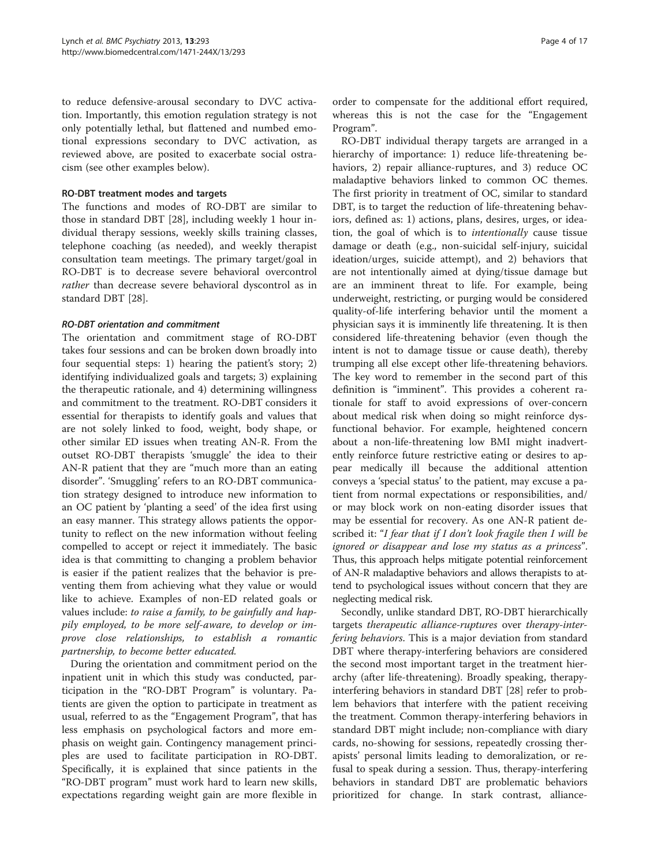to reduce defensive-arousal secondary to DVC activation. Importantly, this emotion regulation strategy is not only potentially lethal, but flattened and numbed emotional expressions secondary to DVC activation, as reviewed above, are posited to exacerbate social ostracism (see other examples below).

# RO-DBT treatment modes and targets

The functions and modes of RO-DBT are similar to those in standard DBT [\[28](#page-15-0)], including weekly 1 hour individual therapy sessions, weekly skills training classes, telephone coaching (as needed), and weekly therapist consultation team meetings. The primary target/goal in RO-DBT is to decrease severe behavioral overcontrol rather than decrease severe behavioral dyscontrol as in standard DBT [[28](#page-15-0)].

# RO-DBT orientation and commitment

The orientation and commitment stage of RO-DBT takes four sessions and can be broken down broadly into four sequential steps: 1) hearing the patient's story; 2) identifying individualized goals and targets; 3) explaining the therapeutic rationale, and 4) determining willingness and commitment to the treatment. RO-DBT considers it essential for therapists to identify goals and values that are not solely linked to food, weight, body shape, or other similar ED issues when treating AN-R. From the outset RO-DBT therapists 'smuggle' the idea to their AN-R patient that they are "much more than an eating disorder". 'Smuggling' refers to an RO-DBT communication strategy designed to introduce new information to an OC patient by 'planting a seed' of the idea first using an easy manner. This strategy allows patients the opportunity to reflect on the new information without feeling compelled to accept or reject it immediately. The basic idea is that committing to changing a problem behavior is easier if the patient realizes that the behavior is preventing them from achieving what they value or would like to achieve. Examples of non-ED related goals or values include: to raise a family, to be gainfully and happily employed, to be more self-aware, to develop or improve close relationships, to establish a romantic partnership, to become better educated.

During the orientation and commitment period on the inpatient unit in which this study was conducted, participation in the "RO-DBT Program" is voluntary. Patients are given the option to participate in treatment as usual, referred to as the "Engagement Program", that has less emphasis on psychological factors and more emphasis on weight gain. Contingency management principles are used to facilitate participation in RO-DBT. Specifically, it is explained that since patients in the "RO-DBT program" must work hard to learn new skills, expectations regarding weight gain are more flexible in order to compensate for the additional effort required, whereas this is not the case for the "Engagement Program".

RO-DBT individual therapy targets are arranged in a hierarchy of importance: 1) reduce life-threatening behaviors, 2) repair alliance-ruptures, and 3) reduce OC maladaptive behaviors linked to common OC themes. The first priority in treatment of OC, similar to standard DBT, is to target the reduction of life-threatening behaviors, defined as: 1) actions, plans, desires, urges, or ideation, the goal of which is to intentionally cause tissue damage or death (e.g., non-suicidal self-injury, suicidal ideation/urges, suicide attempt), and 2) behaviors that are not intentionally aimed at dying/tissue damage but are an imminent threat to life. For example, being underweight, restricting, or purging would be considered quality-of-life interfering behavior until the moment a physician says it is imminently life threatening. It is then considered life-threatening behavior (even though the intent is not to damage tissue or cause death), thereby trumping all else except other life-threatening behaviors. The key word to remember in the second part of this definition is "imminent". This provides a coherent rationale for staff to avoid expressions of over-concern about medical risk when doing so might reinforce dysfunctional behavior. For example, heightened concern about a non-life-threatening low BMI might inadvertently reinforce future restrictive eating or desires to appear medically ill because the additional attention conveys a 'special status' to the patient, may excuse a patient from normal expectations or responsibilities, and/ or may block work on non-eating disorder issues that may be essential for recovery. As one AN-R patient described it: "I fear that if I don't look fragile then I will be ignored or disappear and lose my status as a princess". Thus, this approach helps mitigate potential reinforcement of AN-R maladaptive behaviors and allows therapists to attend to psychological issues without concern that they are neglecting medical risk.

Secondly, unlike standard DBT, RO-DBT hierarchically targets therapeutic alliance-ruptures over therapy-interfering behaviors. This is a major deviation from standard DBT where therapy-interfering behaviors are considered the second most important target in the treatment hierarchy (after life-threatening). Broadly speaking, therapyinterfering behaviors in standard DBT [[28\]](#page-15-0) refer to problem behaviors that interfere with the patient receiving the treatment. Common therapy-interfering behaviors in standard DBT might include; non-compliance with diary cards, no-showing for sessions, repeatedly crossing therapists' personal limits leading to demoralization, or refusal to speak during a session. Thus, therapy-interfering behaviors in standard DBT are problematic behaviors prioritized for change. In stark contrast, alliance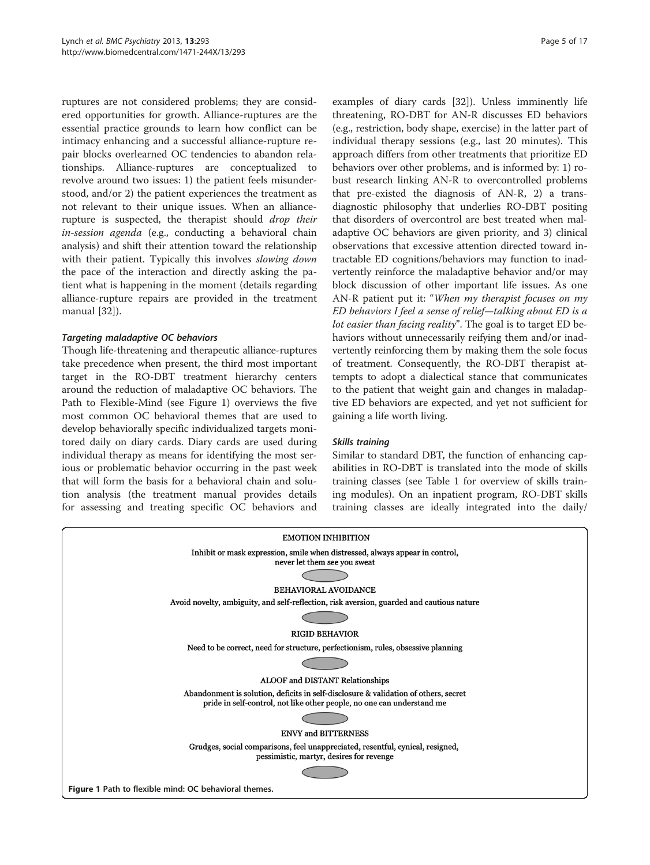ruptures are not considered problems; they are considered opportunities for growth. Alliance-ruptures are the essential practice grounds to learn how conflict can be intimacy enhancing and a successful alliance-rupture repair blocks overlearned OC tendencies to abandon relationships. Alliance-ruptures are conceptualized to revolve around two issues: 1) the patient feels misunderstood, and/or 2) the patient experiences the treatment as not relevant to their unique issues. When an alliancerupture is suspected, the therapist should drop their in-session agenda (e.g., conducting a behavioral chain analysis) and shift their attention toward the relationship with their patient. Typically this involves *slowing down* the pace of the interaction and directly asking the patient what is happening in the moment (details regarding alliance-rupture repairs are provided in the treatment manual [\[32\]](#page-15-0)).

#### Targeting maladaptive OC behaviors

Though life-threatening and therapeutic alliance-ruptures take precedence when present, the third most important target in the RO-DBT treatment hierarchy centers around the reduction of maladaptive OC behaviors. The Path to Flexible-Mind (see Figure 1) overviews the five most common OC behavioral themes that are used to develop behaviorally specific individualized targets monitored daily on diary cards. Diary cards are used during individual therapy as means for identifying the most serious or problematic behavior occurring in the past week that will form the basis for a behavioral chain and solution analysis (the treatment manual provides details for assessing and treating specific OC behaviors and

examples of diary cards [\[32](#page-15-0)]). Unless imminently life threatening, RO-DBT for AN-R discusses ED behaviors (e.g., restriction, body shape, exercise) in the latter part of individual therapy sessions (e.g., last 20 minutes). This approach differs from other treatments that prioritize ED behaviors over other problems, and is informed by: 1) robust research linking AN-R to overcontrolled problems that pre-existed the diagnosis of AN-R, 2) a transdiagnostic philosophy that underlies RO-DBT positing that disorders of overcontrol are best treated when maladaptive OC behaviors are given priority, and 3) clinical observations that excessive attention directed toward intractable ED cognitions/behaviors may function to inadvertently reinforce the maladaptive behavior and/or may block discussion of other important life issues. As one AN-R patient put it: "When my therapist focuses on my ED behaviors I feel a sense of relief—talking about ED is a lot easier than facing reality". The goal is to target ED behaviors without unnecessarily reifying them and/or inadvertently reinforcing them by making them the sole focus of treatment. Consequently, the RO-DBT therapist attempts to adopt a dialectical stance that communicates to the patient that weight gain and changes in maladaptive ED behaviors are expected, and yet not sufficient for gaining a life worth living.

# Skills training

Similar to standard DBT, the function of enhancing capabilities in RO-DBT is translated into the mode of skills training classes (see Table [1](#page-5-0) for overview of skills training modules). On an inpatient program, RO-DBT skills training classes are ideally integrated into the daily/

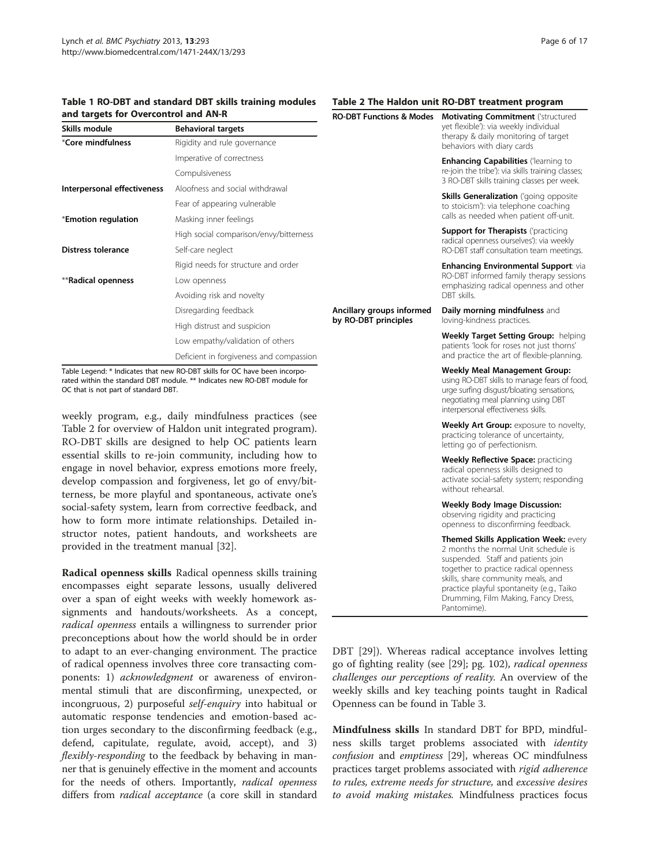#### <span id="page-5-0"></span>Table 1 RO-DBT and standard DBT skills training modules and targets for Overcontrol and AN-R

| Skills module               | <b>Behavioral targets</b>               |  |  |  |  |  |
|-----------------------------|-----------------------------------------|--|--|--|--|--|
| *Core mindfulness           | Rigidity and rule governance            |  |  |  |  |  |
|                             | Imperative of correctness               |  |  |  |  |  |
|                             | Compulsiveness                          |  |  |  |  |  |
| Interpersonal effectiveness | Aloofness and social withdrawal         |  |  |  |  |  |
|                             | Fear of appearing vulnerable            |  |  |  |  |  |
| *Emotion regulation         | Masking inner feelings                  |  |  |  |  |  |
|                             | High social comparison/envy/bitterness  |  |  |  |  |  |
| <b>Distress tolerance</b>   | Self-care neglect                       |  |  |  |  |  |
|                             | Rigid needs for structure and order     |  |  |  |  |  |
| **Radical openness          | Low openness                            |  |  |  |  |  |
|                             | Avoiding risk and novelty               |  |  |  |  |  |
|                             | Disregarding feedback                   |  |  |  |  |  |
|                             | High distrust and suspicion             |  |  |  |  |  |
|                             | Low empathy/validation of others        |  |  |  |  |  |
|                             | Deficient in forgiveness and compassion |  |  |  |  |  |

Table Legend: \* Indicates that new RO-DBT skills for OC have been incorporated within the standard DBT module. \*\* Indicates new RO-DBT module for OC that is not part of standard DBT.

weekly program, e.g., daily mindfulness practices (see Table 2 for overview of Haldon unit integrated program). RO-DBT skills are designed to help OC patients learn essential skills to re-join community, including how to engage in novel behavior, express emotions more freely, develop compassion and forgiveness, let go of envy/bitterness, be more playful and spontaneous, activate one's social-safety system, learn from corrective feedback, and how to form more intimate relationships. Detailed instructor notes, patient handouts, and worksheets are provided in the treatment manual [[32](#page-15-0)].

Radical openness skills Radical openness skills training encompasses eight separate lessons, usually delivered over a span of eight weeks with weekly homework assignments and handouts/worksheets. As a concept, radical openness entails a willingness to surrender prior preconceptions about how the world should be in order to adapt to an ever-changing environment. The practice of radical openness involves three core transacting components: 1) *acknowledgment* or awareness of environmental stimuli that are disconfirming, unexpected, or incongruous, 2) purposeful self-enquiry into habitual or automatic response tendencies and emotion-based action urges secondary to the disconfirming feedback (e.g., defend, capitulate, regulate, avoid, accept), and 3) *flexibly-responding* to the feedback by behaving in manner that is genuinely effective in the moment and accounts for the needs of others. Importantly, *radical openness* differs from radical acceptance (a core skill in standard

#### Table 2 The Haldon unit RO-DBT treatment program

|                                                   | nii KO-DDT treatment program                                                                                                                                                                                                                                                                                 |
|---------------------------------------------------|--------------------------------------------------------------------------------------------------------------------------------------------------------------------------------------------------------------------------------------------------------------------------------------------------------------|
| <b>RO-DBT Functions &amp; Modes</b>               | <b>Motivating Commitment</b> ('structured<br>yet flexible'): via weekly individual<br>therapy & daily monitoring of target<br>behaviors with diary cards                                                                                                                                                     |
|                                                   | <b>Enhancing Capabilities</b> ('learning to<br>re-join the tribe'): via skills training classes;<br>3 RO-DBT skills training classes per week.                                                                                                                                                               |
|                                                   | Skills Generalization ('going opposite<br>to stoicism'): via telephone coaching<br>calls as needed when patient off-unit.                                                                                                                                                                                    |
|                                                   | <b>Support for Therapists</b> ('practicing<br>radical openness ourselves'): via weekly<br>RO-DBT staff consultation team meetings.                                                                                                                                                                           |
|                                                   | Enhancing Environmental Support: via<br>RO-DBT informed family therapy sessions<br>emphasizing radical openness and other<br>DBT skills.                                                                                                                                                                     |
| Ancillary groups informed<br>by RO-DBT principles | Daily morning mindfulness and<br>loving-kindness practices.                                                                                                                                                                                                                                                  |
|                                                   | <b>Weekly Target Setting Group: helping</b><br>patients 'look for roses not just thorns'<br>and practice the art of flexible-planning.                                                                                                                                                                       |
|                                                   | Weekly Meal Management Group:<br>using RO-DBT skills to manage fears of food,<br>urge surfing disgust/bloating sensations,<br>negotiating meal planning using DBT<br>interpersonal effectiveness skills.                                                                                                     |
|                                                   | <b>Weekly Art Group:</b> exposure to novelty,<br>practicing tolerance of uncertainty,<br>letting go of perfectionism.                                                                                                                                                                                        |
|                                                   | <b>Weekly Reflective Space: practicing</b><br>radical openness skills designed to<br>activate social-safety system; responding<br>without rehearsal.                                                                                                                                                         |
|                                                   | <b>Weekly Body Image Discussion:</b><br>observing rigidity and practicing<br>openness to disconfirming feedback.                                                                                                                                                                                             |
|                                                   | <b>Themed Skills Application Week: every</b><br>2 months the normal Unit schedule is<br>suspended. Staff and patients join<br>together to practice radical openness<br>skills, share community meals, and<br>practice playful spontaneity (e.g., Taiko<br>Drumming, Film Making, Fancy Dress,<br>Pantomime). |

DBT [[29\]](#page-15-0)). Whereas radical acceptance involves letting go of fighting reality (see [\[29\]](#page-15-0); pg. 102), radical openness challenges our perceptions of reality. An overview of the weekly skills and key teaching points taught in Radical Openness can be found in Table [3](#page-6-0).

Mindfulness skills In standard DBT for BPD, mindfulness skills target problems associated with *identity* confusion and emptiness [[29](#page-15-0)], whereas OC mindfulness practices target problems associated with rigid adherence to rules, extreme needs for structure, and excessive desires to avoid making mistakes. Mindfulness practices focus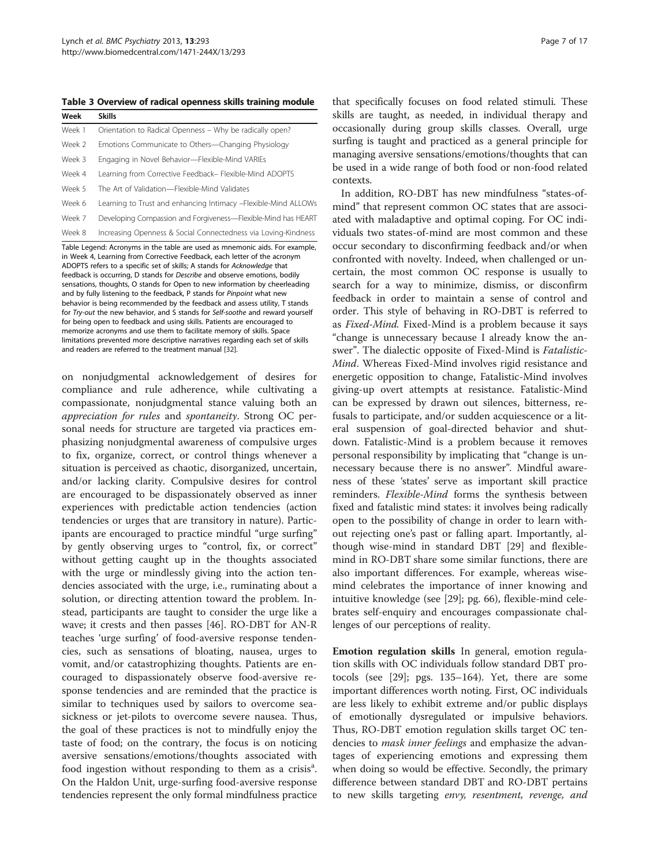<span id="page-6-0"></span>Table 3 Overview of radical openness skills training module

| Week   | <b>Skills</b>                                                  |
|--------|----------------------------------------------------------------|
| Week 1 | Orientation to Radical Openness - Why be radically open?       |
| Week 2 | Emotions Communicate to Others-Changing Physiology             |
| Week 3 | Engaging in Novel Behavior-Flexible-Mind VARIEs                |
| Week 4 | Learning from Corrective Feedback– Flexible-Mind ADOPTS        |
| Week 5 | The Art of Validation-Flexible-Mind Validates                  |
| Week 6 | Learning to Trust and enhancing Intimacy -Flexible-Mind ALLOWs |
| Week 7 | Developing Compassion and Forgiveness-Flexible-Mind has HEART  |
| Week 8 | Increasing Openness & Social Connectedness via Loving-Kindness |

Table Legend: Acronyms in the table are used as mnemonic aids. For example, in Week 4, Learning from Corrective Feedback, each letter of the acronym ADOPTS refers to a specific set of skills; A stands for Acknowledge that feedback is occurring, D stands for Describe and observe emotions, bodily sensations, thoughts, O stands for Open to new information by cheerleading and by fully listening to the feedback, P stands for Pinpoint what new behavior is being recommended by the feedback and assess utility, T stands for Try-out the new behavior, and S stands for Self-soothe and reward yourself for being open to feedback and using skills. Patients are encouraged to memorize acronyms and use them to facilitate memory of skills. Space limitations prevented more descriptive narratives regarding each set of skills and readers are referred to the treatment manual [\[32\]](#page-15-0).

on nonjudgmental acknowledgement of desires for compliance and rule adherence, while cultivating a compassionate, nonjudgmental stance valuing both an appreciation for rules and spontaneity. Strong OC personal needs for structure are targeted via practices emphasizing nonjudgmental awareness of compulsive urges to fix, organize, correct, or control things whenever a situation is perceived as chaotic, disorganized, uncertain, and/or lacking clarity. Compulsive desires for control are encouraged to be dispassionately observed as inner experiences with predictable action tendencies (action tendencies or urges that are transitory in nature). Participants are encouraged to practice mindful "urge surfing" by gently observing urges to "control, fix, or correct" without getting caught up in the thoughts associated with the urge or mindlessly giving into the action tendencies associated with the urge, i.e., ruminating about a solution, or directing attention toward the problem. Instead, participants are taught to consider the urge like a wave; it crests and then passes [\[46](#page-16-0)]. RO-DBT for AN-R teaches 'urge surfing' of food-aversive response tendencies, such as sensations of bloating, nausea, urges to vomit, and/or catastrophizing thoughts. Patients are encouraged to dispassionately observe food-aversive response tendencies and are reminded that the practice is similar to techniques used by sailors to overcome seasickness or jet-pilots to overcome severe nausea. Thus, the goal of these practices is not to mindfully enjoy the taste of food; on the contrary, the focus is on noticing aversive sensations/emotions/thoughts associated with food ingestion without responding to them as a crisis<sup>a</sup>. On the Haldon Unit, urge-surfing food-aversive response tendencies represent the only formal mindfulness practice

that specifically focuses on food related stimuli. These skills are taught, as needed, in individual therapy and occasionally during group skills classes. Overall, urge surfing is taught and practiced as a general principle for managing aversive sensations/emotions/thoughts that can be used in a wide range of both food or non-food related contexts.

In addition, RO-DBT has new mindfulness "states-ofmind" that represent common OC states that are associated with maladaptive and optimal coping. For OC individuals two states-of-mind are most common and these occur secondary to disconfirming feedback and/or when confronted with novelty. Indeed, when challenged or uncertain, the most common OC response is usually to search for a way to minimize, dismiss, or disconfirm feedback in order to maintain a sense of control and order. This style of behaving in RO-DBT is referred to as Fixed-Mind. Fixed-Mind is a problem because it says "change is unnecessary because I already know the answer". The dialectic opposite of Fixed-Mind is Fatalistic-Mind. Whereas Fixed-Mind involves rigid resistance and energetic opposition to change, Fatalistic-Mind involves giving-up overt attempts at resistance. Fatalistic-Mind can be expressed by drawn out silences, bitterness, refusals to participate, and/or sudden acquiescence or a literal suspension of goal-directed behavior and shutdown. Fatalistic-Mind is a problem because it removes personal responsibility by implicating that "change is unnecessary because there is no answer". Mindful awareness of these 'states' serve as important skill practice reminders. Flexible-Mind forms the synthesis between fixed and fatalistic mind states: it involves being radically open to the possibility of change in order to learn without rejecting one's past or falling apart. Importantly, although wise-mind in standard DBT [[29](#page-15-0)] and flexiblemind in RO-DBT share some similar functions, there are also important differences. For example, whereas wisemind celebrates the importance of inner knowing and intuitive knowledge (see [\[29](#page-15-0)]; pg. 66), flexible-mind celebrates self-enquiry and encourages compassionate challenges of our perceptions of reality.

Emotion regulation skills In general, emotion regulation skills with OC individuals follow standard DBT protocols (see [[29\]](#page-15-0); pgs. 135–164). Yet, there are some important differences worth noting. First, OC individuals are less likely to exhibit extreme and/or public displays of emotionally dysregulated or impulsive behaviors. Thus, RO-DBT emotion regulation skills target OC tendencies to *mask inner feelings* and emphasize the advantages of experiencing emotions and expressing them when doing so would be effective. Secondly, the primary difference between standard DBT and RO-DBT pertains to new skills targeting envy, resentment, revenge, and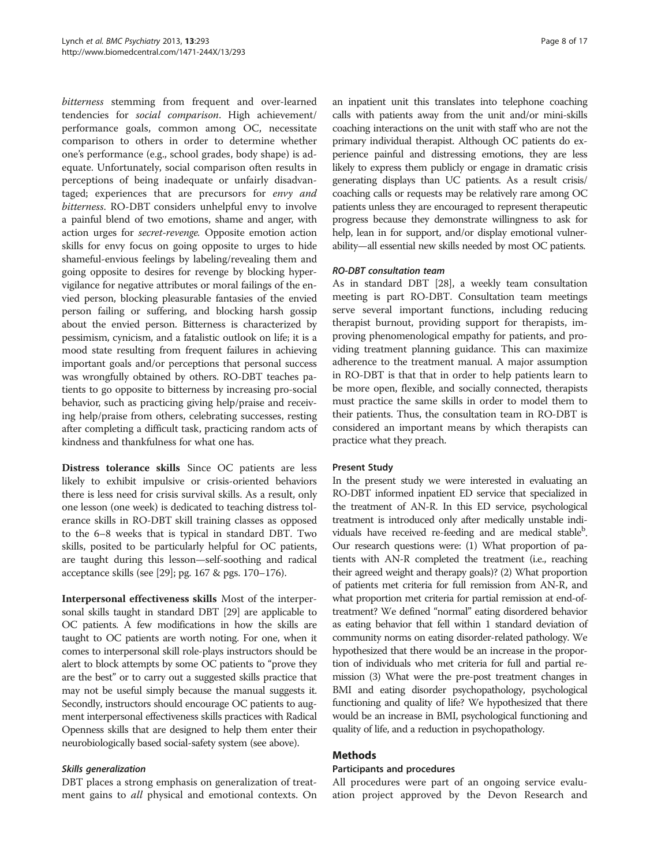bitterness stemming from frequent and over-learned tendencies for social comparison. High achievement/ performance goals, common among OC, necessitate comparison to others in order to determine whether one's performance (e.g., school grades, body shape) is adequate. Unfortunately, social comparison often results in perceptions of being inadequate or unfairly disadvantaged; experiences that are precursors for envy and bitterness. RO-DBT considers unhelpful envy to involve a painful blend of two emotions, shame and anger, with action urges for secret-revenge. Opposite emotion action skills for envy focus on going opposite to urges to hide shameful-envious feelings by labeling/revealing them and going opposite to desires for revenge by blocking hypervigilance for negative attributes or moral failings of the envied person, blocking pleasurable fantasies of the envied person failing or suffering, and blocking harsh gossip about the envied person. Bitterness is characterized by pessimism, cynicism, and a fatalistic outlook on life; it is a mood state resulting from frequent failures in achieving important goals and/or perceptions that personal success was wrongfully obtained by others. RO-DBT teaches patients to go opposite to bitterness by increasing pro-social behavior, such as practicing giving help/praise and receiving help/praise from others, celebrating successes, resting after completing a difficult task, practicing random acts of kindness and thankfulness for what one has.

Distress tolerance skills Since OC patients are less likely to exhibit impulsive or crisis-oriented behaviors there is less need for crisis survival skills. As a result, only one lesson (one week) is dedicated to teaching distress tolerance skills in RO-DBT skill training classes as opposed to the 6–8 weeks that is typical in standard DBT. Two skills, posited to be particularly helpful for OC patients, are taught during this lesson—self-soothing and radical acceptance skills (see [\[29\]](#page-15-0); pg. 167 & pgs. 170–176).

Interpersonal effectiveness skills Most of the interpersonal skills taught in standard DBT [[29](#page-15-0)] are applicable to OC patients. A few modifications in how the skills are taught to OC patients are worth noting. For one, when it comes to interpersonal skill role-plays instructors should be alert to block attempts by some OC patients to "prove they are the best" or to carry out a suggested skills practice that may not be useful simply because the manual suggests it. Secondly, instructors should encourage OC patients to augment interpersonal effectiveness skills practices with Radical Openness skills that are designed to help them enter their neurobiologically based social-safety system (see above).

#### Skills generalization

DBT places a strong emphasis on generalization of treatment gains to *all* physical and emotional contexts. On an inpatient unit this translates into telephone coaching calls with patients away from the unit and/or mini-skills coaching interactions on the unit with staff who are not the primary individual therapist. Although OC patients do experience painful and distressing emotions, they are less likely to express them publicly or engage in dramatic crisis generating displays than UC patients. As a result crisis/ coaching calls or requests may be relatively rare among OC patients unless they are encouraged to represent therapeutic progress because they demonstrate willingness to ask for help, lean in for support, and/or display emotional vulnerability—all essential new skills needed by most OC patients.

# RO-DBT consultation team

As in standard DBT [[28](#page-15-0)], a weekly team consultation meeting is part RO-DBT. Consultation team meetings serve several important functions, including reducing therapist burnout, providing support for therapists, improving phenomenological empathy for patients, and providing treatment planning guidance. This can maximize adherence to the treatment manual. A major assumption in RO-DBT is that that in order to help patients learn to be more open, flexible, and socially connected, therapists must practice the same skills in order to model them to their patients. Thus, the consultation team in RO-DBT is considered an important means by which therapists can practice what they preach.

#### Present Study

In the present study we were interested in evaluating an RO-DBT informed inpatient ED service that specialized in the treatment of AN-R. In this ED service, psychological treatment is introduced only after medically unstable individuals have received re-feeding and are medical stable<sup>b</sup>. Our research questions were: (1) What proportion of patients with AN-R completed the treatment (i.e., reaching their agreed weight and therapy goals)? (2) What proportion of patients met criteria for full remission from AN-R, and what proportion met criteria for partial remission at end-oftreatment? We defined "normal" eating disordered behavior as eating behavior that fell within 1 standard deviation of community norms on eating disorder-related pathology. We hypothesized that there would be an increase in the proportion of individuals who met criteria for full and partial remission (3) What were the pre-post treatment changes in BMI and eating disorder psychopathology, psychological functioning and quality of life? We hypothesized that there would be an increase in BMI, psychological functioning and quality of life, and a reduction in psychopathology.

#### Methods

#### Participants and procedures

All procedures were part of an ongoing service evaluation project approved by the Devon Research and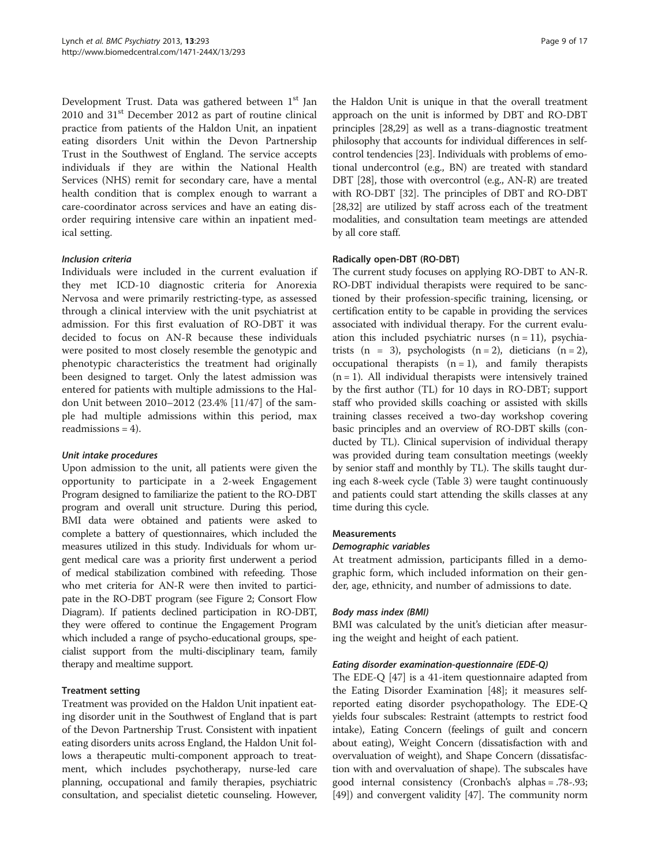Development Trust. Data was gathered between 1<sup>st</sup> Jan  $2010$  and  $31<sup>st</sup>$  December 2012 as part of routine clinical practice from patients of the Haldon Unit, an inpatient eating disorders Unit within the Devon Partnership Trust in the Southwest of England. The service accepts individuals if they are within the National Health Services (NHS) remit for secondary care, have a mental health condition that is complex enough to warrant a care-coordinator across services and have an eating disorder requiring intensive care within an inpatient medical setting.

#### Inclusion criteria

Individuals were included in the current evaluation if they met ICD-10 diagnostic criteria for Anorexia Nervosa and were primarily restricting-type, as assessed through a clinical interview with the unit psychiatrist at admission. For this first evaluation of RO-DBT it was decided to focus on AN-R because these individuals were posited to most closely resemble the genotypic and phenotypic characteristics the treatment had originally been designed to target. Only the latest admission was entered for patients with multiple admissions to the Haldon Unit between 2010–2012 (23.4% [11/47] of the sample had multiple admissions within this period, max readmissions  $= 4$ ).

#### Unit intake procedures

Upon admission to the unit, all patients were given the opportunity to participate in a 2-week Engagement Program designed to familiarize the patient to the RO-DBT program and overall unit structure. During this period, BMI data were obtained and patients were asked to complete a battery of questionnaires, which included the measures utilized in this study. Individuals for whom urgent medical care was a priority first underwent a period of medical stabilization combined with refeeding. Those who met criteria for AN-R were then invited to participate in the RO-DBT program (see Figure [2;](#page-9-0) Consort Flow Diagram). If patients declined participation in RO-DBT, they were offered to continue the Engagement Program which included a range of psycho-educational groups, specialist support from the multi-disciplinary team, family therapy and mealtime support.

#### Treatment setting

Treatment was provided on the Haldon Unit inpatient eating disorder unit in the Southwest of England that is part of the Devon Partnership Trust. Consistent with inpatient eating disorders units across England, the Haldon Unit follows a therapeutic multi-component approach to treatment, which includes psychotherapy, nurse-led care planning, occupational and family therapies, psychiatric consultation, and specialist dietetic counseling. However, the Haldon Unit is unique in that the overall treatment approach on the unit is informed by DBT and RO-DBT principles [[28,29\]](#page-15-0) as well as a trans-diagnostic treatment philosophy that accounts for individual differences in selfcontrol tendencies [[23](#page-15-0)]. Individuals with problems of emotional undercontrol (e.g., BN) are treated with standard DBT [\[28](#page-15-0)], those with overcontrol (e.g., AN-R) are treated with RO-DBT [\[32\]](#page-15-0). The principles of DBT and RO-DBT [[28,32](#page-15-0)] are utilized by staff across each of the treatment modalities, and consultation team meetings are attended by all core staff.

#### Radically open-DBT (RO-DBT)

The current study focuses on applying RO-DBT to AN-R. RO-DBT individual therapists were required to be sanctioned by their profession-specific training, licensing, or certification entity to be capable in providing the services associated with individual therapy. For the current evaluation this included psychiatric nurses  $(n = 11)$ , psychiatrists  $(n = 3)$ , psychologists  $(n = 2)$ , dieticians  $(n = 2)$ , occupational therapists  $(n = 1)$ , and family therapists  $(n = 1)$ . All individual therapists were intensively trained by the first author (TL) for 10 days in RO-DBT; support staff who provided skills coaching or assisted with skills training classes received a two-day workshop covering basic principles and an overview of RO-DBT skills (conducted by TL). Clinical supervision of individual therapy was provided during team consultation meetings (weekly by senior staff and monthly by TL). The skills taught during each 8-week cycle (Table [3\)](#page-6-0) were taught continuously and patients could start attending the skills classes at any time during this cycle.

#### Measurements

#### Demographic variables

At treatment admission, participants filled in a demographic form, which included information on their gender, age, ethnicity, and number of admissions to date.

#### Body mass index (BMI)

BMI was calculated by the unit's dietician after measuring the weight and height of each patient.

#### Eating disorder examination-questionnaire (EDE-Q)

The EDE-Q [\[47\]](#page-16-0) is a 41-item questionnaire adapted from the Eating Disorder Examination [\[48\]](#page-16-0); it measures selfreported eating disorder psychopathology. The EDE-Q yields four subscales: Restraint (attempts to restrict food intake), Eating Concern (feelings of guilt and concern about eating), Weight Concern (dissatisfaction with and overvaluation of weight), and Shape Concern (dissatisfaction with and overvaluation of shape). The subscales have good internal consistency (Cronbach's alphas = .78-.93; [[49](#page-16-0)]) and convergent validity [[47](#page-16-0)]. The community norm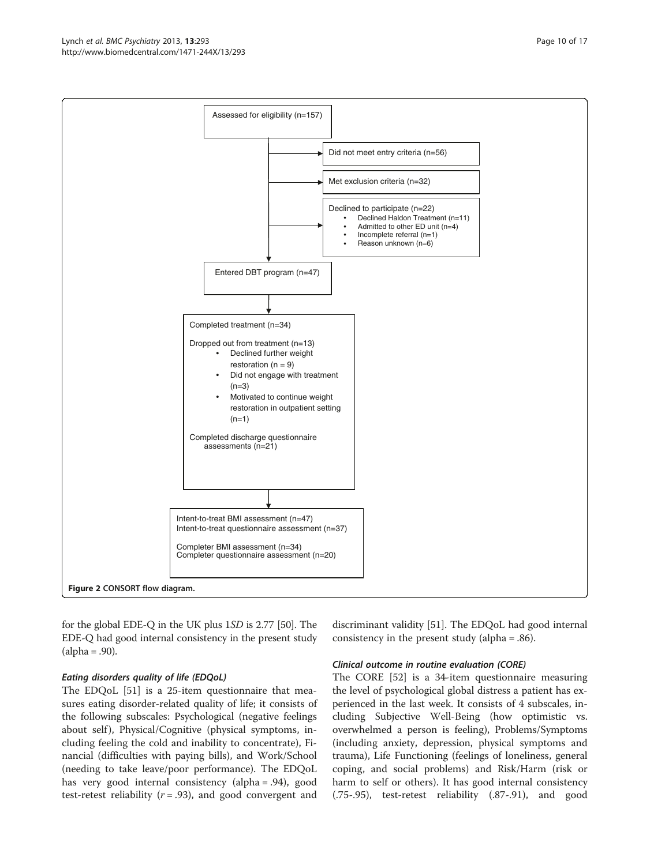<span id="page-9-0"></span>

for the global EDE-Q in the UK plus 1SD is 2.77 [\[50\]](#page-16-0). The EDE-Q had good internal consistency in the present study  $(alpha = .90).$ 

# Eating disorders quality of life (EDQoL)

The EDQoL [\[51\]](#page-16-0) is a 25-item questionnaire that measures eating disorder-related quality of life; it consists of the following subscales: Psychological (negative feelings about self), Physical/Cognitive (physical symptoms, including feeling the cold and inability to concentrate), Financial (difficulties with paying bills), and Work/School (needing to take leave/poor performance). The EDQoL has very good internal consistency (alpha = .94), good test-retest reliability ( $r = .93$ ), and good convergent and

discriminant validity [[51](#page-16-0)]. The EDQoL had good internal consistency in the present study (alpha = .86).

#### Clinical outcome in routine evaluation (CORE)

The CORE [[52\]](#page-16-0) is a 34-item questionnaire measuring the level of psychological global distress a patient has experienced in the last week. It consists of 4 subscales, including Subjective Well-Being (how optimistic vs. overwhelmed a person is feeling), Problems/Symptoms (including anxiety, depression, physical symptoms and trauma), Life Functioning (feelings of loneliness, general coping, and social problems) and Risk/Harm (risk or harm to self or others). It has good internal consistency (.75-.95), test-retest reliability (.87-.91), and good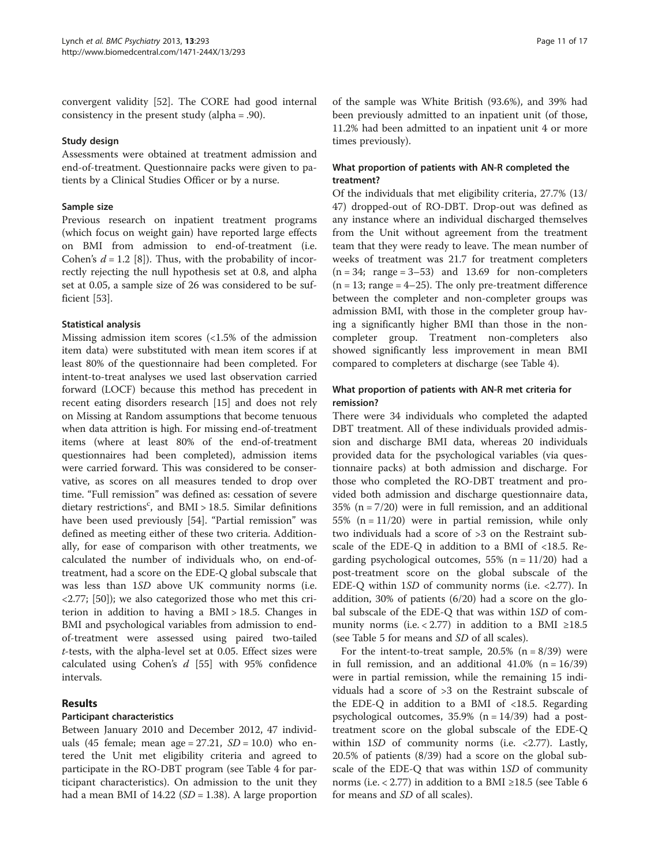convergent validity [[52](#page-16-0)]. The CORE had good internal consistency in the present study (alpha = .90).

#### Study design

Assessments were obtained at treatment admission and end-of-treatment. Questionnaire packs were given to patients by a Clinical Studies Officer or by a nurse.

#### Sample size

Previous research on inpatient treatment programs (which focus on weight gain) have reported large effects on BMI from admission to end-of-treatment (i.e. Cohen's  $d = 1.2$  [[8\]](#page-15-0)). Thus, with the probability of incorrectly rejecting the null hypothesis set at 0.8, and alpha set at 0.05, a sample size of 26 was considered to be sufficient [\[53\]](#page-16-0).

#### Statistical analysis

Missing admission item scores (<1.5% of the admission item data) were substituted with mean item scores if at least 80% of the questionnaire had been completed. For intent-to-treat analyses we used last observation carried forward (LOCF) because this method has precedent in recent eating disorders research [\[15](#page-15-0)] and does not rely on Missing at Random assumptions that become tenuous when data attrition is high. For missing end-of-treatment items (where at least 80% of the end-of-treatment questionnaires had been completed), admission items were carried forward. This was considered to be conservative, as scores on all measures tended to drop over time. "Full remission" was defined as: cessation of severe dietary restrictions<sup>c</sup>, and BMI > 18.5. Similar definitions have been used previously [[54\]](#page-16-0). "Partial remission" was defined as meeting either of these two criteria. Additionally, for ease of comparison with other treatments, we calculated the number of individuals who, on end-oftreatment, had a score on the EDE-Q global subscale that was less than 1SD above UK community norms (i.e. <2.77; [[50](#page-16-0)]); we also categorized those who met this criterion in addition to having a BMI > 18.5. Changes in BMI and psychological variables from admission to endof-treatment were assessed using paired two-tailed t-tests, with the alpha-level set at 0.05. Effect sizes were calculated using Cohen's  $d$  [\[55\]](#page-16-0) with 95% confidence intervals.

# Results

#### Participant characteristics

Between January 2010 and December 2012, 47 individuals (45 female; mean age =  $27.21$ ,  $SD = 10.0$ ) who entered the Unit met eligibility criteria and agreed to participate in the RO-DBT program (see Table [4](#page-11-0) for participant characteristics). On admission to the unit they had a mean BMI of  $14.22$  (*SD* = 1.38). A large proportion of the sample was White British (93.6%), and 39% had been previously admitted to an inpatient unit (of those, 11.2% had been admitted to an inpatient unit 4 or more times previously).

#### What proportion of patients with AN-R completed the treatment?

Of the individuals that met eligibility criteria, 27.7% (13/ 47) dropped-out of RO-DBT. Drop-out was defined as any instance where an individual discharged themselves from the Unit without agreement from the treatment team that they were ready to leave. The mean number of weeks of treatment was 21.7 for treatment completers  $(n = 34;$  range = 3–53) and 13.69 for non-completers  $(n = 13;$  range  $= 4-25$ ). The only pre-treatment difference between the completer and non-completer groups was admission BMI, with those in the completer group having a significantly higher BMI than those in the noncompleter group. Treatment non-completers also showed significantly less improvement in mean BMI compared to completers at discharge (see Table [4](#page-11-0)).

#### What proportion of patients with AN-R met criteria for remission?

There were 34 individuals who completed the adapted DBT treatment. All of these individuals provided admission and discharge BMI data, whereas 20 individuals provided data for the psychological variables (via questionnaire packs) at both admission and discharge. For those who completed the RO-DBT treatment and provided both admission and discharge questionnaire data,  $35\%$  (n = 7/20) were in full remission, and an additional 55% ( $n = 11/20$ ) were in partial remission, while only two individuals had a score of >3 on the Restraint subscale of the EDE-Q in addition to a BMI of <18.5. Regarding psychological outcomes,  $55\%$  (n = 11/20) had a post-treatment score on the global subscale of the EDE-Q within 1SD of community norms (i.e. <2.77). In addition, 30% of patients (6/20) had a score on the global subscale of the EDE-Q that was within 1SD of community norms (i.e. < 2.77) in addition to a BMI ≥18.5 (see Table [5](#page-11-0) for means and SD of all scales).

For the intent-to-treat sample,  $20.5\%$  (n = 8/39) were in full remission, and an additional  $41.0\%$  (n =  $16/39$ ) were in partial remission, while the remaining 15 individuals had a score of >3 on the Restraint subscale of the EDE-Q in addition to a BMI of <18.5. Regarding psychological outcomes,  $35.9\%$  (n = 14/39) had a posttreatment score on the global subscale of the EDE-Q within  $1SD$  of community norms (i.e.  $\langle 2.77 \rangle$ . Lastly, 20.5% of patients (8/39) had a score on the global subscale of the EDE-Q that was within 1SD of community norms (i.e.  $< 2.77$ ) in addition to a BMI ≥18.5 (see Table [6](#page-12-0) for means and SD of all scales).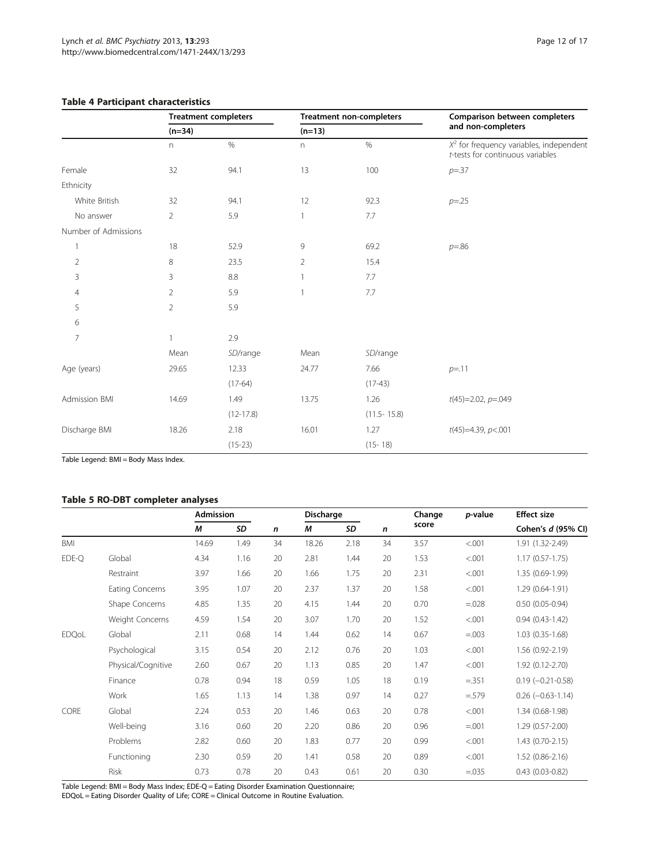# <span id="page-11-0"></span>Table 4 Participant characteristics

|                      | <b>Treatment completers</b> |             |                | <b>Treatment non-completers</b> | Comparison between completers                                                  |  |  |
|----------------------|-----------------------------|-------------|----------------|---------------------------------|--------------------------------------------------------------------------------|--|--|
|                      | $(n=34)$                    |             | $(n=13)$       |                                 | and non-completers                                                             |  |  |
|                      | $\mathsf{n}$                | $\%$        | $\mathsf{n}$   | $\%$                            | $X^2$ for frequency variables, independent<br>t-tests for continuous variables |  |  |
| Female               | 32                          | 94.1        | 13             | 100                             | $p = 37$                                                                       |  |  |
| Ethnicity            |                             |             |                |                                 |                                                                                |  |  |
| White British        | 32                          | 94.1        | 12             | 92.3                            | $p = 0.25$                                                                     |  |  |
| No answer            | $\overline{2}$              | 5.9         | 1              | 7.7                             |                                                                                |  |  |
| Number of Admissions |                             |             |                |                                 |                                                                                |  |  |
| 1                    | 18                          | 52.9        | 9              | 69.2                            | $p = 0.86$                                                                     |  |  |
| $\overline{2}$       | 8                           | 23.5        | $\overline{2}$ | 15.4                            |                                                                                |  |  |
| 3                    | 3                           | 8.8         | 1              | 7.7                             |                                                                                |  |  |
| 4                    | $\overline{2}$              | 5.9         |                | 7.7                             |                                                                                |  |  |
| 5                    | $\overline{2}$              | 5.9         |                |                                 |                                                                                |  |  |
| 6                    |                             |             |                |                                 |                                                                                |  |  |
| $\overline{7}$       | 1                           | 2.9         |                |                                 |                                                                                |  |  |
|                      | Mean                        | SD/range    | Mean           | SD/range                        |                                                                                |  |  |
| Age (years)          | 29.65                       | 12.33       | 24.77          | 7.66                            | $p = 11$                                                                       |  |  |
|                      |                             | $(17-64)$   |                | $(17-43)$                       |                                                                                |  |  |
| Admission BMI        | 14.69                       | 1.49        | 13.75          | 1.26                            | $t(45)=2.02, p=.049$                                                           |  |  |
|                      |                             | $(12-17.8)$ |                | $(11.5 - 15.8)$                 |                                                                                |  |  |
| Discharge BMI        | 18.26                       | 2.18        | 16.01          | 1.27                            | $t(45)=4.39, p<.001$                                                           |  |  |
|                      |                             | $(15-23)$   |                | $(15 - 18)$                     |                                                                                |  |  |

Table Legend: BMI = Body Mass Index.

# Table 5 RO-DBT completer analyses

|              |                    | <b>Admission</b> |      | SD<br>$\mathsf{n}$ | <b>Discharge</b> |      |    | Change | p-value | <b>Effect size</b>        |
|--------------|--------------------|------------------|------|--------------------|------------------|------|----|--------|---------|---------------------------|
|              |                    | М                |      |                    | М                | SD   | n  | score  |         | Cohen's d (95% CI)        |
| <b>BMI</b>   |                    | 14.69            | 1.49 | 34                 | 18.26            | 2.18 | 34 | 3.57   | < .001  | 1.91 (1.32-2.49)          |
| EDE-Q        | Global             | 4.34             | 1.16 | 20                 | 2.81             | 1.44 | 20 | 1.53   | < .001  | $1.17(0.57-1.75)$         |
|              | Restraint          | 3.97             | 1.66 | 20                 | 1.66             | 1.75 | 20 | 2.31   | < .001  | 1.35 (0.69-1.99)          |
|              | Eating Concerns    | 3.95             | 1.07 | 20                 | 2.37             | 1.37 | 20 | 1.58   | < .001  | $1.29(0.64-1.91)$         |
|              | Shape Concerns     | 4.85             | 1.35 | 20                 | 4.15             | 1.44 | 20 | 0.70   | $=.028$ | $0.50(0.05 - 0.94)$       |
|              | Weight Concerns    | 4.59             | 1.54 | 20                 | 3.07             | 1.70 | 20 | 1.52   | < .001  | $0.94(0.43-1.42)$         |
| <b>EDQoL</b> | Global             | 2.11             | 0.68 | 14                 | 1.44             | 0.62 | 14 | 0.67   | $=.003$ | $1.03(0.35-1.68)$         |
|              | Psychological      | 3.15             | 0.54 | 20                 | 2.12             | 0.76 | 20 | 1.03   | < .001  | 1.56 (0.92-2.19)          |
|              | Physical/Cognitive | 2.60             | 0.67 | 20                 | 1.13             | 0.85 | 20 | 1.47   | < .001  | 1.92 (0.12-2.70)          |
|              | Finance            | 0.78             | 0.94 | 18                 | 0.59             | 1.05 | 18 | 0.19   | $=.351$ | $0.19 (-0.21 - 0.58)$     |
|              | Work               | 1.65             | 1.13 | 14                 | 1.38             | 0.97 | 14 | 0.27   | $=.579$ | $0.26$ ( $-0.63 - 1.14$ ) |
| CORE         | Global             | 2.24             | 0.53 | 20                 | 1.46             | 0.63 | 20 | 0.78   | < .001  | 1.34 (0.68-1.98)          |
|              | Well-being         | 3.16             | 0.60 | 20                 | 2.20             | 0.86 | 20 | 0.96   | $=.001$ | 1.29 (0.57-2.00)          |
|              | Problems           | 2.82             | 0.60 | 20                 | 1.83             | 0.77 | 20 | 0.99   | < .001  | $1.43(0.70-2.15)$         |
|              | Functioning        | 2.30             | 0.59 | 20                 | 1.41             | 0.58 | 20 | 0.89   | < .001  | $1.52(0.86-2.16)$         |
|              | Risk               | 0.73             | 0.78 | 20                 | 0.43             | 0.61 | 20 | 0.30   | $=.035$ | $0.43(0.03 - 0.82)$       |

Table Legend: BMI = Body Mass Index; EDE-Q = Eating Disorder Examination Questionnaire;

EDQoL = Eating Disorder Quality of Life; CORE = Clinical Outcome in Routine Evaluation.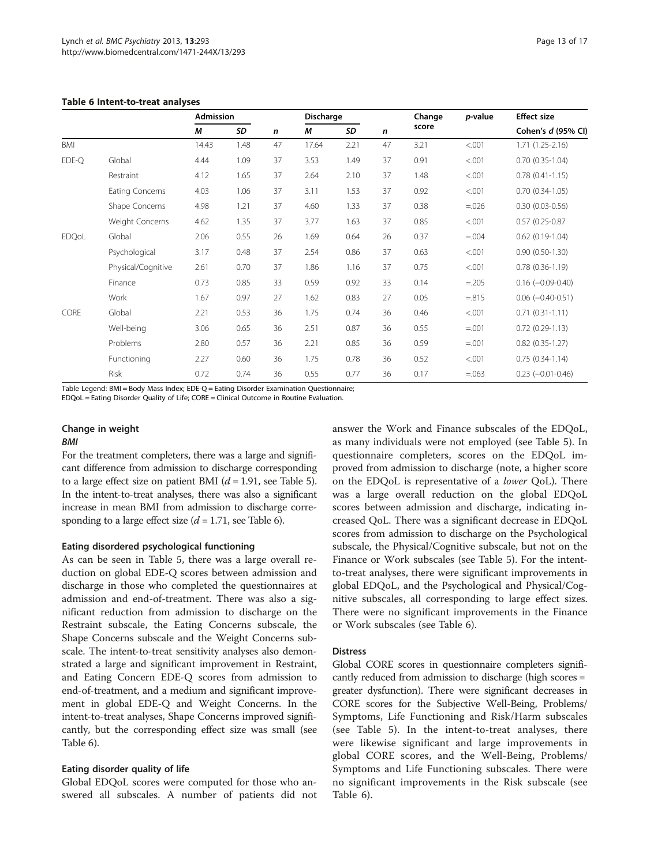#### <span id="page-12-0"></span>Table 6 Intent-to-treat analyses

|              |                    | Admission |      | n  | <b>Discharge</b> |      |    | Change | p-value | <b>Effect size</b>        |  |
|--------------|--------------------|-----------|------|----|------------------|------|----|--------|---------|---------------------------|--|
|              |                    | М         | SD   |    | М                | SD   | n  | score  |         | Cohen's d (95% CI)        |  |
| BMI          |                    | 14.43     | 1.48 | 47 | 17.64            | 2.21 | 47 | 3.21   | < .001  | $1.71(1.25-2.16)$         |  |
| EDE-Q        | Global             | 4.44      | 1.09 | 37 | 3.53             | 1.49 | 37 | 0.91   | < .001  | $0.70(0.35-1.04)$         |  |
|              | Restraint          | 4.12      | 1.65 | 37 | 2.64             | 2.10 | 37 | 1.48   | < .001  | $0.78(0.41-1.15)$         |  |
|              | Eating Concerns    | 4.03      | 1.06 | 37 | 3.11             | 1.53 | 37 | 0.92   | < .001  | $0.70(0.34-1.05)$         |  |
|              | Shape Concerns     | 4.98      | 1.21 | 37 | 4.60             | 1.33 | 37 | 0.38   | $=.026$ | $0.30(0.03 - 0.56)$       |  |
|              | Weight Concerns    | 4.62      | 1.35 | 37 | 3.77             | 1.63 | 37 | 0.85   | < .001  | 0.57 (0.25-0.87           |  |
| <b>EDQoL</b> | Global             | 2.06      | 0.55 | 26 | 1.69             | 0.64 | 26 | 0.37   | $=.004$ | $0.62(0.19-1.04)$         |  |
|              | Psychological      | 3.17      | 0.48 | 37 | 2.54             | 0.86 | 37 | 0.63   | < .001  | $0.90(0.50-1.30)$         |  |
|              | Physical/Cognitive | 2.61      | 0.70 | 37 | 1.86             | 1.16 | 37 | 0.75   | < .001  | $0.78(0.36-1.19)$         |  |
|              | Finance            | 0.73      | 0.85 | 33 | 0.59             | 0.92 | 33 | 0.14   | $=.205$ | $0.16 (-0.09 - 0.40)$     |  |
|              | Work               | 1.67      | 0.97 | 27 | 1.62             | 0.83 | 27 | 0.05   | $=.815$ | $0.06$ ( $-0.40 - 0.51$ ) |  |
| <b>CORE</b>  | Global             | 2.21      | 0.53 | 36 | 1.75             | 0.74 | 36 | 0.46   | < .001  | $0.71(0.31-1.11)$         |  |
|              | Well-being         | 3.06      | 0.65 | 36 | 2.51             | 0.87 | 36 | 0.55   | $=.001$ | $0.72(0.29-1.13)$         |  |
|              | Problems           | 2.80      | 0.57 | 36 | 2.21             | 0.85 | 36 | 0.59   | $=.001$ | $0.82$ (0.35-1.27)        |  |
|              | Functioning        | 2.27      | 0.60 | 36 | 1.75             | 0.78 | 36 | 0.52   | < .001  | $0.75(0.34-1.14)$         |  |

Risk 0.72 0.74 36 0.55 0.77 36 0.17 =.063 0.23 (−0.01-0.46)

Table Legend: BMI = Body Mass Index; EDE-Q = Eating Disorder Examination Questionnaire;

EDQoL = Eating Disorder Quality of Life; CORE = Clinical Outcome in Routine Evaluation.

#### Change in weight **BMI**

For the treatment completers, there was a large and significant difference from admission to discharge corresponding to a large effect size on patient BMI  $(d = 1.91$ , see Table [5](#page-11-0)). In the intent-to-treat analyses, there was also a significant increase in mean BMI from admission to discharge corresponding to a large effect size  $(d = 1.71$ , see Table 6).

# Eating disordered psychological functioning

As can be seen in Table [5,](#page-11-0) there was a large overall reduction on global EDE-Q scores between admission and discharge in those who completed the questionnaires at admission and end-of-treatment. There was also a significant reduction from admission to discharge on the Restraint subscale, the Eating Concerns subscale, the Shape Concerns subscale and the Weight Concerns subscale. The intent-to-treat sensitivity analyses also demonstrated a large and significant improvement in Restraint, and Eating Concern EDE-Q scores from admission to end-of-treatment, and a medium and significant improvement in global EDE-Q and Weight Concerns. In the intent-to-treat analyses, Shape Concerns improved significantly, but the corresponding effect size was small (see Table 6).

# Eating disorder quality of life

Global EDQoL scores were computed for those who answered all subscales. A number of patients did not

answer the Work and Finance subscales of the EDQoL, as many individuals were not employed (see Table [5](#page-11-0)). In questionnaire completers, scores on the EDQoL improved from admission to discharge (note, a higher score on the EDQoL is representative of a lower QoL). There was a large overall reduction on the global EDQoL scores between admission and discharge, indicating increased QoL. There was a significant decrease in EDQoL scores from admission to discharge on the Psychological subscale, the Physical/Cognitive subscale, but not on the Finance or Work subscales (see Table [5\)](#page-11-0). For the intentto-treat analyses, there were significant improvements in global EDQoL, and the Psychological and Physical/Cognitive subscales, all corresponding to large effect sizes. There were no significant improvements in the Finance or Work subscales (see Table 6).

# Distress

Global CORE scores in questionnaire completers significantly reduced from admission to discharge (high scores = greater dysfunction). There were significant decreases in CORE scores for the Subjective Well-Being, Problems/ Symptoms, Life Functioning and Risk/Harm subscales (see Table [5\)](#page-11-0). In the intent-to-treat analyses, there were likewise significant and large improvements in global CORE scores, and the Well-Being, Problems/ Symptoms and Life Functioning subscales. There were no significant improvements in the Risk subscale (see Table 6).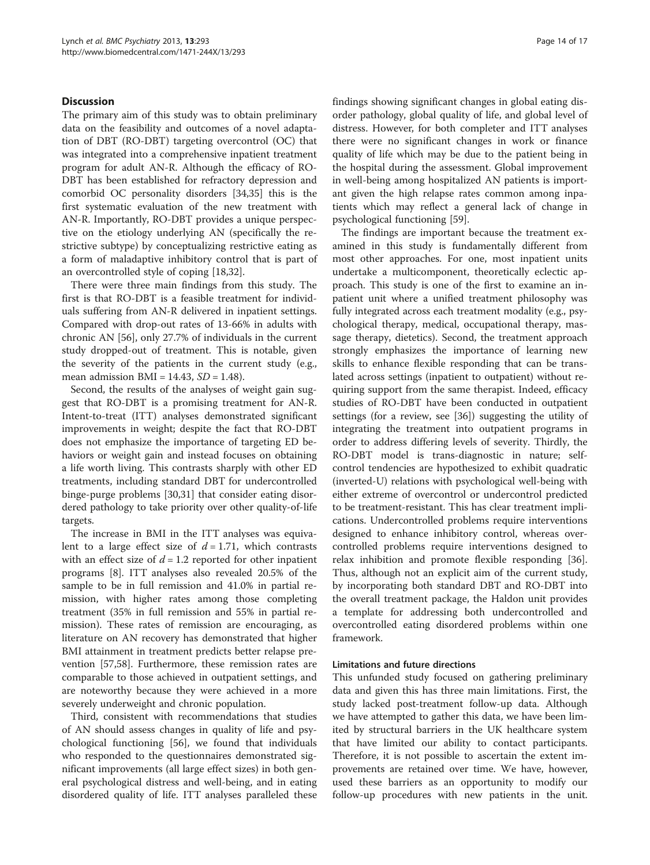# **Discussion**

The primary aim of this study was to obtain preliminary data on the feasibility and outcomes of a novel adaptation of DBT (RO-DBT) targeting overcontrol (OC) that was integrated into a comprehensive inpatient treatment program for adult AN-R. Although the efficacy of RO-DBT has been established for refractory depression and comorbid OC personality disorders [\[34,35\]](#page-15-0) this is the first systematic evaluation of the new treatment with AN-R. Importantly, RO-DBT provides a unique perspective on the etiology underlying AN (specifically the restrictive subtype) by conceptualizing restrictive eating as a form of maladaptive inhibitory control that is part of an overcontrolled style of coping [\[18,32](#page-15-0)].

There were three main findings from this study. The first is that RO-DBT is a feasible treatment for individuals suffering from AN-R delivered in inpatient settings. Compared with drop-out rates of 13-66% in adults with chronic AN [[56\]](#page-16-0), only 27.7% of individuals in the current study dropped-out of treatment. This is notable, given the severity of the patients in the current study (e.g., mean admission  $BMI = 14.43$ ,  $SD = 1.48$ ).

Second, the results of the analyses of weight gain suggest that RO-DBT is a promising treatment for AN-R. Intent-to-treat (ITT) analyses demonstrated significant improvements in weight; despite the fact that RO-DBT does not emphasize the importance of targeting ED behaviors or weight gain and instead focuses on obtaining a life worth living. This contrasts sharply with other ED treatments, including standard DBT for undercontrolled binge-purge problems [[30,31](#page-15-0)] that consider eating disordered pathology to take priority over other quality-of-life targets.

The increase in BMI in the ITT analyses was equivalent to a large effect size of  $d = 1.71$ , which contrasts with an effect size of  $d = 1.2$  reported for other inpatient programs [\[8](#page-15-0)]. ITT analyses also revealed 20.5% of the sample to be in full remission and 41.0% in partial remission, with higher rates among those completing treatment (35% in full remission and 55% in partial remission). These rates of remission are encouraging, as literature on AN recovery has demonstrated that higher BMI attainment in treatment predicts better relapse prevention [[57,58\]](#page-16-0). Furthermore, these remission rates are comparable to those achieved in outpatient settings, and are noteworthy because they were achieved in a more severely underweight and chronic population.

Third, consistent with recommendations that studies of AN should assess changes in quality of life and psychological functioning [[56](#page-16-0)], we found that individuals who responded to the questionnaires demonstrated significant improvements (all large effect sizes) in both general psychological distress and well-being, and in eating disordered quality of life. ITT analyses paralleled these findings showing significant changes in global eating disorder pathology, global quality of life, and global level of distress. However, for both completer and ITT analyses there were no significant changes in work or finance quality of life which may be due to the patient being in the hospital during the assessment. Global improvement in well-being among hospitalized AN patients is important given the high relapse rates common among inpatients which may reflect a general lack of change in psychological functioning [\[59](#page-16-0)].

The findings are important because the treatment examined in this study is fundamentally different from most other approaches. For one, most inpatient units undertake a multicomponent, theoretically eclectic approach. This study is one of the first to examine an inpatient unit where a unified treatment philosophy was fully integrated across each treatment modality (e.g., psychological therapy, medical, occupational therapy, massage therapy, dietetics). Second, the treatment approach strongly emphasizes the importance of learning new skills to enhance flexible responding that can be translated across settings (inpatient to outpatient) without requiring support from the same therapist. Indeed, efficacy studies of RO-DBT have been conducted in outpatient settings (for a review, see [\[36](#page-15-0)]) suggesting the utility of integrating the treatment into outpatient programs in order to address differing levels of severity. Thirdly, the RO-DBT model is trans-diagnostic in nature; selfcontrol tendencies are hypothesized to exhibit quadratic (inverted-U) relations with psychological well-being with either extreme of overcontrol or undercontrol predicted to be treatment-resistant. This has clear treatment implications. Undercontrolled problems require interventions designed to enhance inhibitory control, whereas overcontrolled problems require interventions designed to relax inhibition and promote flexible responding [\[36](#page-15-0)]. Thus, although not an explicit aim of the current study, by incorporating both standard DBT and RO-DBT into the overall treatment package, the Haldon unit provides a template for addressing both undercontrolled and overcontrolled eating disordered problems within one framework.

#### Limitations and future directions

This unfunded study focused on gathering preliminary data and given this has three main limitations. First, the study lacked post-treatment follow-up data. Although we have attempted to gather this data, we have been limited by structural barriers in the UK healthcare system that have limited our ability to contact participants. Therefore, it is not possible to ascertain the extent improvements are retained over time. We have, however, used these barriers as an opportunity to modify our follow-up procedures with new patients in the unit.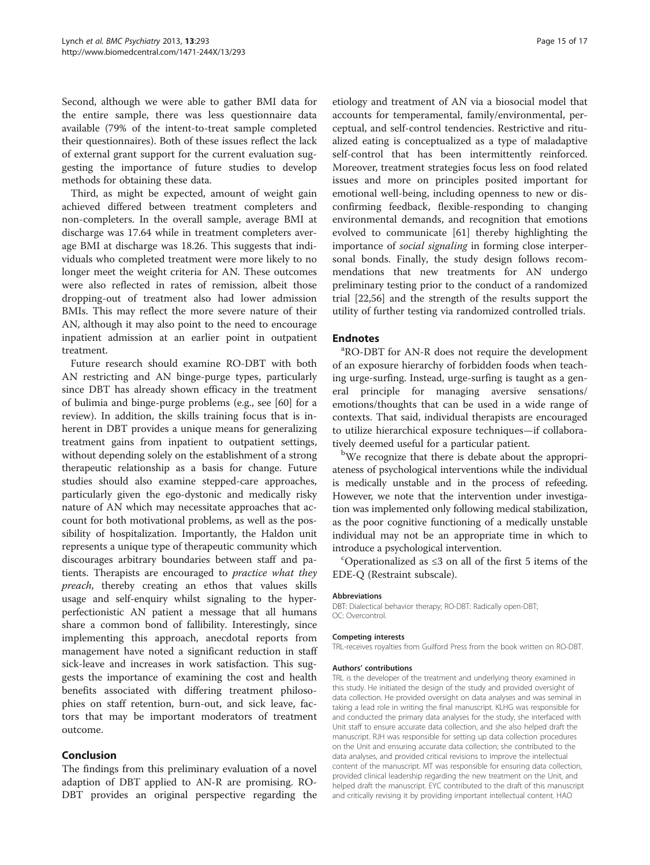Second, although we were able to gather BMI data for the entire sample, there was less questionnaire data available (79% of the intent-to-treat sample completed their questionnaires). Both of these issues reflect the lack of external grant support for the current evaluation suggesting the importance of future studies to develop methods for obtaining these data.

Third, as might be expected, amount of weight gain achieved differed between treatment completers and non-completers. In the overall sample, average BMI at discharge was 17.64 while in treatment completers average BMI at discharge was 18.26. This suggests that individuals who completed treatment were more likely to no longer meet the weight criteria for AN. These outcomes were also reflected in rates of remission, albeit those dropping-out of treatment also had lower admission BMIs. This may reflect the more severe nature of their AN, although it may also point to the need to encourage inpatient admission at an earlier point in outpatient treatment.

Future research should examine RO-DBT with both AN restricting and AN binge-purge types, particularly since DBT has already shown efficacy in the treatment of bulimia and binge-purge problems (e.g., see [[60\]](#page-16-0) for a review). In addition, the skills training focus that is inherent in DBT provides a unique means for generalizing treatment gains from inpatient to outpatient settings, without depending solely on the establishment of a strong therapeutic relationship as a basis for change. Future studies should also examine stepped-care approaches, particularly given the ego-dystonic and medically risky nature of AN which may necessitate approaches that account for both motivational problems, as well as the possibility of hospitalization. Importantly, the Haldon unit represents a unique type of therapeutic community which discourages arbitrary boundaries between staff and patients. Therapists are encouraged to practice what they preach, thereby creating an ethos that values skills usage and self-enquiry whilst signaling to the hyperperfectionistic AN patient a message that all humans share a common bond of fallibility. Interestingly, since implementing this approach, anecdotal reports from management have noted a significant reduction in staff sick-leave and increases in work satisfaction. This suggests the importance of examining the cost and health benefits associated with differing treatment philosophies on staff retention, burn-out, and sick leave, factors that may be important moderators of treatment outcome.

# Conclusion

The findings from this preliminary evaluation of a novel adaption of DBT applied to AN-R are promising. RO-DBT provides an original perspective regarding the etiology and treatment of AN via a biosocial model that accounts for temperamental, family/environmental, perceptual, and self-control tendencies. Restrictive and ritualized eating is conceptualized as a type of maladaptive self-control that has been intermittently reinforced. Moreover, treatment strategies focus less on food related issues and more on principles posited important for emotional well-being, including openness to new or disconfirming feedback, flexible-responding to changing environmental demands, and recognition that emotions evolved to communicate [[61\]](#page-16-0) thereby highlighting the importance of *social signaling* in forming close interpersonal bonds. Finally, the study design follows recommendations that new treatments for AN undergo preliminary testing prior to the conduct of a randomized trial [\[22](#page-15-0)[,56\]](#page-16-0) and the strength of the results support the utility of further testing via randomized controlled trials.

#### **Endnotes**

RO-DBT for AN-R does not require the development of an exposure hierarchy of forbidden foods when teaching urge-surfing. Instead, urge-surfing is taught as a general principle for managing aversive sensations/ emotions/thoughts that can be used in a wide range of contexts. That said, individual therapists are encouraged to utilize hierarchical exposure techniques—if collaboratively deemed useful for a particular patient.

<sup>b</sup>We recognize that there is debate about the appropriateness of psychological interventions while the individual is medically unstable and in the process of refeeding. However, we note that the intervention under investigation was implemented only following medical stabilization, as the poor cognitive functioning of a medically unstable individual may not be an appropriate time in which to introduce a psychological intervention.

Coperationalized as  $\leq$ 3 on all of the first 5 items of the EDE-Q (Restraint subscale).

#### Abbreviations

DBT: Dialectical behavior therapy; RO-DBT: Radically open-DBT; OC: Overcontrol.

#### Competing interests

TRL-receives royalties from Guilford Press from the book written on RO-DBT.

#### Authors' contributions

TRL is the developer of the treatment and underlying theory examined in this study. He initiated the design of the study and provided oversight of data collection. He provided oversight on data analyses and was seminal in taking a lead role in writing the final manuscript. KLHG was responsible for and conducted the primary data analyses for the study, she interfaced with Unit staff to ensure accurate data collection, and she also helped draft the manuscript. RJH was responsible for setting up data collection procedures on the Unit and ensuring accurate data collection; she contributed to the data analyses, and provided critical revisions to improve the intellectual content of the manuscript. MT was responsible for ensuring data collection, provided clinical leadership regarding the new treatment on the Unit, and helped draft the manuscript. EYC contributed to the draft of this manuscript and critically revising it by providing important intellectual content. HAO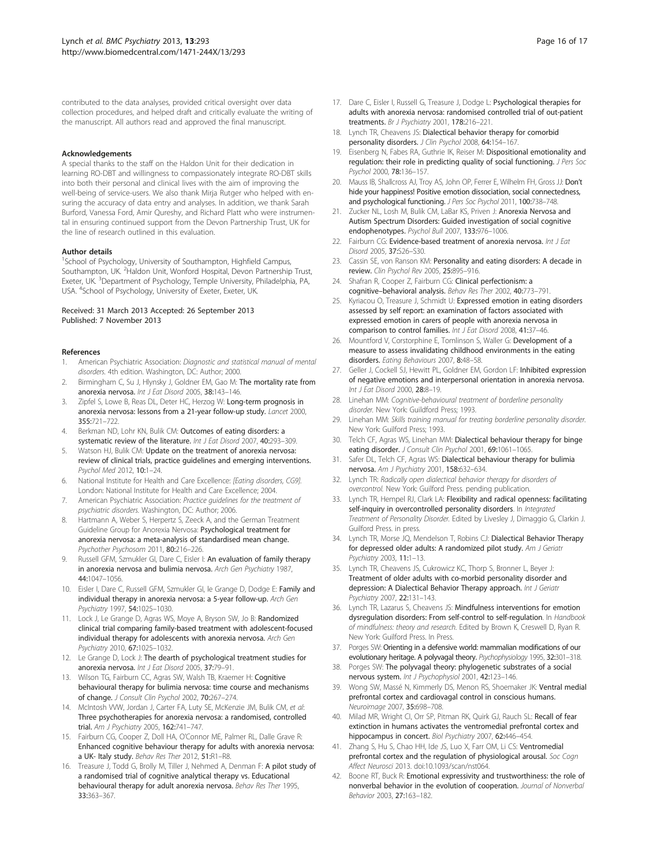<span id="page-15-0"></span>contributed to the data analyses, provided critical oversight over data collection procedures, and helped draft and critically evaluate the writing of the manuscript. All authors read and approved the final manuscript.

#### Acknowledgements

A special thanks to the staff on the Haldon Unit for their dedication in learning RO-DBT and willingness to compassionately integrate RO-DBT skills into both their personal and clinical lives with the aim of improving the well-being of service-users. We also thank Mirja Rutger who helped with ensuring the accuracy of data entry and analyses. In addition, we thank Sarah Burford, Vanessa Ford, Amir Qureshy, and Richard Platt who were instrumental in ensuring continued support from the Devon Partnership Trust, UK for the line of research outlined in this evaluation.

#### Author details

<sup>1</sup>School of Psychology, University of Southampton, Highfield Campus, Southampton, UK. <sup>2</sup>Haldon Unit, Wonford Hospital, Devon Partnership Trust, Exeter, UK. <sup>3</sup>Department of Psychology, Temple University, Philadelphia, PA, USA. <sup>4</sup>School of Psychology, University of Exeter, Exeter, UK.

#### Received: 31 March 2013 Accepted: 26 September 2013 Published: 7 November 2013

#### References

- American Psychiatric Association: Diagnostic and statistical manual of mental disorders. 4th edition. Washington, DC: Author; 2000.
- 2. Birmingham C, Su J, Hlynsky J, Goldner EM, Gao M: The mortality rate from anorexia nervosa. Int J Eat Disord 2005, 38:143–146.
- 3. Zipfel S, Lowe B, Reas DL, Deter HC, Herzog W: Long-term prognosis in anorexia nervosa: lessons from a 21-year follow-up study. Lancet 2000, 355:721–722.
- 4. Berkman ND, Lohr KN, Bulik CM: Outcomes of eating disorders: a systematic review of the literature. Int J Eat Disord 2007, 40:293–309.
- 5. Watson HJ, Bulik CM: Update on the treatment of anorexia nervosa: review of clinical trials, practice guidelines and emerging interventions. Psychol Med 2012, 10:1–24.
- 6. National Institute for Health and Care Excellence: [Eating disorders, CG9]. London: National Institute for Health and Care Excellence; 2004.
- 7. American Psychiatric Association: Practice guidelines for the treatment of psychiatric disorders. Washington, DC: Author; 2006.
- 8. Hartmann A, Weber S, Herpertz S, Zeeck A, and the German Treatment Guideline Group for Anorexia Nervosa: Psychological treatment for anorexia nervosa: a meta-analysis of standardised mean change. Psychother Psychosom 2011, 80:216–226.
- Russell GFM, Szmukler GI, Dare C, Eisler I: An evaluation of family therapy in anorexia nervosa and bulimia nervosa. Arch Gen Psychiatry 1987, 44:1047–1056.
- 10. Eisler I, Dare C, Russell GFM, Szmukler GI, le Grange D, Dodge E: Family and individual therapy in anorexia nervosa: a 5-year follow-up. Arch Gen Psychiatry 1997, 54:1025–1030.
- 11. Lock J, Le Grange D, Agras WS, Moye A, Bryson SW, Jo B: Randomized clinical trial comparing family-based treatment with adolescent-focused individual therapy for adolescents with anorexia nervosa. Arch Gen Psychiatry 2010, 67:1025–1032.
- 12. Le Grange D, Lock J: The dearth of psychological treatment studies for anorexia nervosa. Int J Eat Disord 2005, 37:79-91.
- 13. Wilson TG, Fairburn CC, Agras SW, Walsh TB, Kraemer H: Cognitive behavioural therapy for bulimia nervosa: time course and mechanisms of change. J Consult Clin Psychol 2002, 70:267–274.
- 14. McIntosh WW, Jordan J, Carter FA, Luty SE, McKenzie JM, Bulik CM, et al: Three psychotherapies for anorexia nervosa: a randomised, controlled trial. Am J Psychiatry 2005, 162:741–747.
- 15. Fairburn CG, Cooper Z, Doll HA, O'Connor ME, Palmer RL, Dalle Grave R: Enhanced cognitive behaviour therapy for adults with anorexia nervosa: a UK- Italy study. Behav Res Ther 2012, 51:R1–R8.
- 16. Treasure J, Todd G, Brolly M, Tiller J, Nehmed A, Denman F: A pilot study of a randomised trial of cognitive analytical therapy vs. Educational behavioural therapy for adult anorexia nervosa. Behav Res Ther 1995, 33:363–367.
- 17. Dare C, Eisler I, Russell G, Treasure J, Dodge L: Psychological therapies for adults with anorexia nervosa: randomised controlled trial of out-patient treatments. Br J Psychiatry 2001, 178:216–221.
- 18. Lynch TR, Cheavens JS: Dialectical behavior therapy for comorbid personality disorders. J Clin Psychol 2008, 64:154–167.
- 19. Eisenberg N, Fabes RA, Guthrie IK, Reiser M: Dispositional emotionality and regulation: their role in predicting quality of social functioning. J Pers Soc Psychol 2000, 78:136–157.
- 20. Mauss IB, Shallcross AJ, Troy AS, John OP, Ferrer E, Wilhelm FH, Gross JJ: Don't hide your happiness! Positive emotion dissociation, social connectedness, and psychological functioning. J Pers Soc Psychol 2011, 100:738–748.
- 21. Zucker NL, Losh M, Bulik CM, LaBar KS, Priven J: **Anorexia Nervosa and** Autism Spectrum Disorders: Guided investigation of social cognitive endophenotypes. Psychol Bull 2007, 133:976–1006.
- 22. Fairburn CG: Evidence-based treatment of anorexia nervosa. Int J Eat Disord 2005, 37:S26–S30.
- 23. Cassin SE, von Ranson KM: Personality and eating disorders: A decade in review. Clin Psychol Rev 2005, 25:895-916.
- 24. Shafran R, Cooper Z, Fairburn CG: Clinical perfectionism: a cognitive–behavioral analysis. Behav Res Ther 2002, 40:773–791.
- 25. Kyriacou O, Treasure J, Schmidt U: Expressed emotion in eating disorders assessed by self report: an examination of factors associated with expressed emotion in carers of people with anorexia nervosa in comparison to control families. Int J Eat Disord 2008, 41:37-46.
- 26. Mountford V, Corstorphine E, Tomlinson S, Waller G: Development of a measure to assess invalidating childhood environments in the eating disorders. Eating Behaviours 2007, 8:48-58.
- 27. Geller J, Cockell SJ, Hewitt PL, Goldner EM, Gordon LF: Inhibited expression of negative emotions and interpersonal orientation in anorexia nervosa. Int J Eat Disord 2000, 28:8-19.
- 28. Linehan MM: Cognitive-behavioural treatment of borderline personality disorder. New York: Guildford Press; 1993.
- 29. Linehan MM: Skills training manual for treating borderline personality disorder. New York: Guilford Press; 1993.
- 30. Telch CF, Agras WS, Linehan MM: Dialectical behaviour therapy for binge eating disorder. J Consult Clin Psychol 2001, 69:1061-1065.
- 31. Safer DL, Telch CF, Agras WS: Dialectical behaviour therapy for bulimia nervosa. Am J Psychiatry 2001, 158:632–634.
- 32. Lynch TR: Radically open dialectical behavior therapy for disorders of overcontrol. New York: Guilford Press. pending publication.
- 33. Lynch TR, Hempel RJ, Clark LA: Flexibility and radical openness: facilitating self-inquiry in overcontrolled personality disorders. In Integrated Treatment of Personality Disorder. Edited by Livesley J, Dimaggio G, Clarkin J. Guilford Press. in press.
- 34. Lynch TR, Morse JQ, Mendelson T, Robins CJ: Dialectical Behavior Therapy for depressed older adults: A randomized pilot study. Am J Geriatr Psychiatry 2003, 11:1–13.
- 35. Lynch TR, Cheavens JS, Cukrowicz KC, Thorp S, Bronner L, Beyer J: Treatment of older adults with co-morbid personality disorder and depression: A Dialectical Behavior Therapy approach. Int J Geriatr Psychiatry 2007, 22:131–143.
- 36. Lynch TR, Lazarus S, Cheavens JS: Mindfulness interventions for emotion dysregulation disorders: From self-control to self-regulation. In Handbook of mindfulness: theory and research. Edited by Brown K, Creswell D, Ryan R. New York: Guilford Press. In Press.
- 37. Porges SW: Orienting in a defensive world: mammalian modifications of our evolutionary heritage. A polyvagal theory. Psychophysiology 1995, 32:301-318.
- 38. Porges SW: The polyvagal theory: phylogenetic substrates of a social nervous system. Int J Psychophysiol 2001, 42:123–146.
- 39. Wong SW, Massé N, Kimmerly DS, Menon RS, Shoemaker JK: Ventral medial prefrontal cortex and cardiovagal control in conscious humans. Neuroimage 2007, 35:698–708.
- 40. Milad MR, Wright CI, Orr SP, Pitman RK, Quirk GJ, Rauch SL: Recall of fear extinction in humans activates the ventromedial prefrontal cortex and hippocampus in concert. Biol Psychiatry 2007, 62:446-454.
- 41. Zhang S, Hu S, Chao HH, Ide JS, Luo X, Farr OM, Li CS: Ventromedial prefrontal cortex and the regulation of physiological arousal. Soc Cogn Affect Neurosci 2013. doi:[10.1093/scan/nst064.](http://dx.doi.org/10.1093/scan/nst064)
- 42. Boone RT, Buck R: Emotional expressivity and trustworthiness: the role of nonverbal behavior in the evolution of cooperation. Journal of Nonverbal Behavior 2003, 27:163–182.